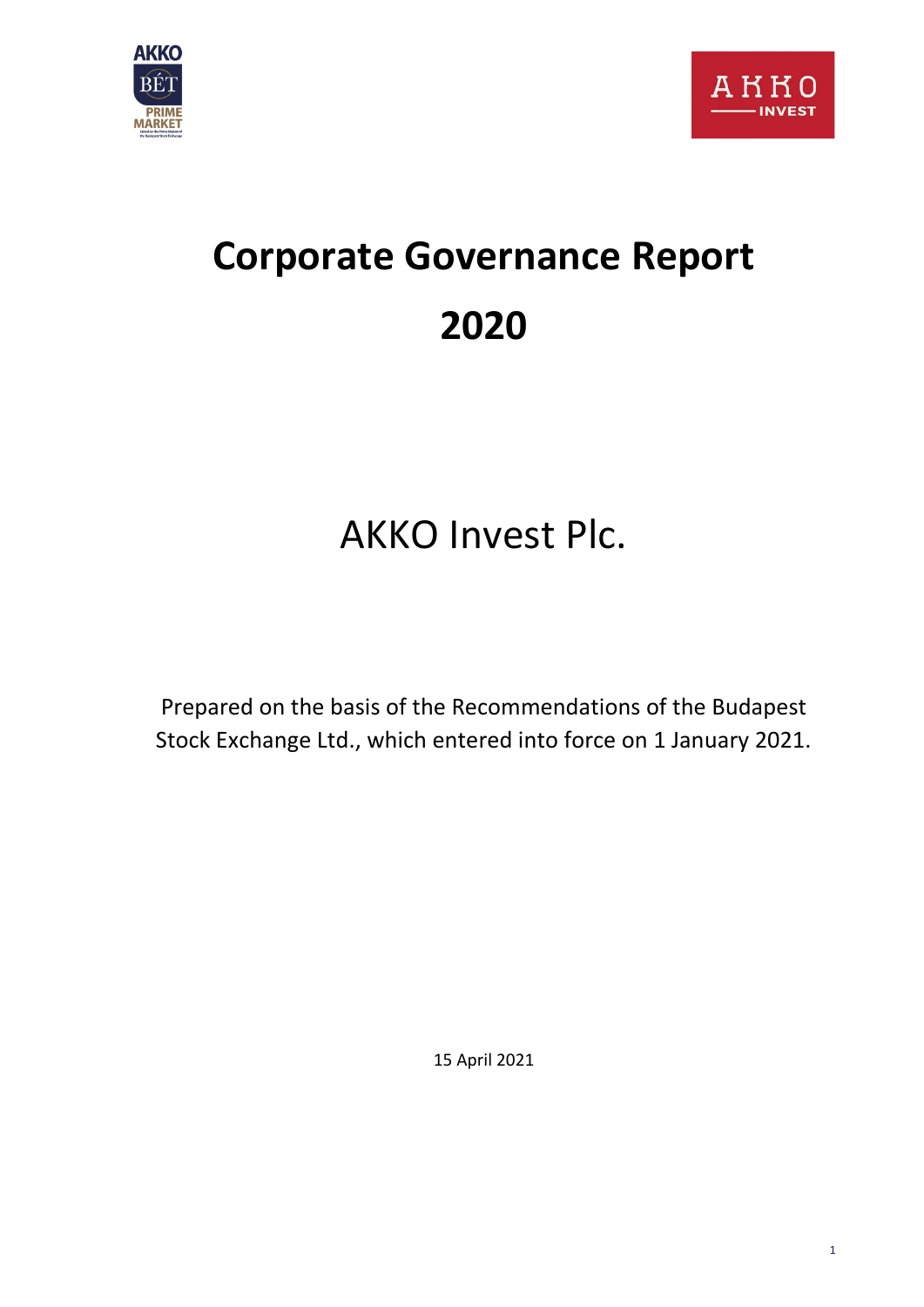



# **Corporate Governance Report 2020**

## AKKO Invest Plc.

Prepared on the basis of the Recommendations of the Budapest Stock Exchange Ltd., which entered into force on 1 January 2021.

15 April 2021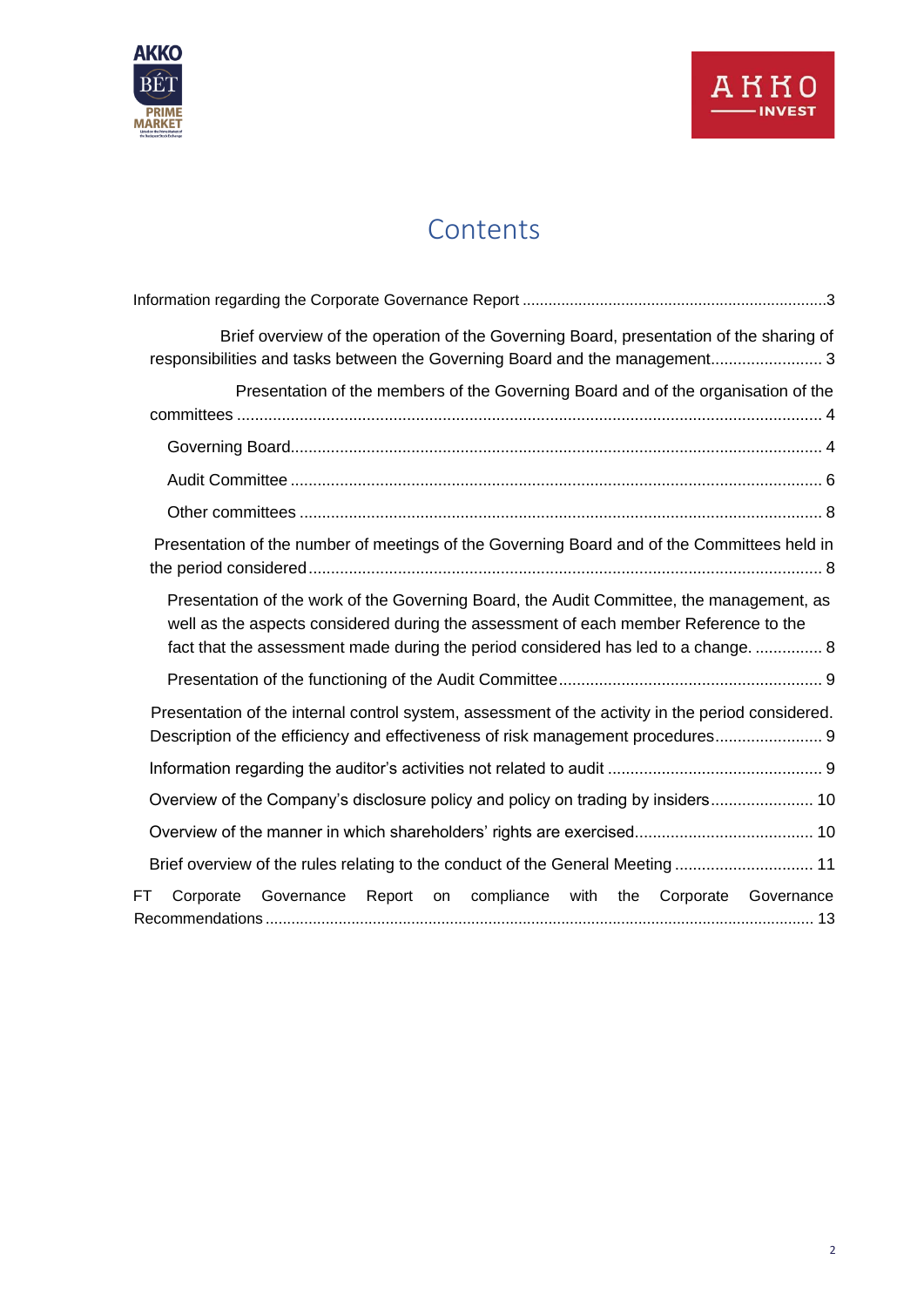

### **Contents**

| Brief overview of the operation of the Governing Board, presentation of the sharing of<br>responsibilities and tasks between the Governing Board and the management 3                                                                                                  |
|------------------------------------------------------------------------------------------------------------------------------------------------------------------------------------------------------------------------------------------------------------------------|
| Presentation of the members of the Governing Board and of the organisation of the                                                                                                                                                                                      |
|                                                                                                                                                                                                                                                                        |
|                                                                                                                                                                                                                                                                        |
|                                                                                                                                                                                                                                                                        |
| Presentation of the number of meetings of the Governing Board and of the Committees held in                                                                                                                                                                            |
| Presentation of the work of the Governing Board, the Audit Committee, the management, as<br>well as the aspects considered during the assessment of each member Reference to the<br>fact that the assessment made during the period considered has led to a change.  8 |
|                                                                                                                                                                                                                                                                        |
| Presentation of the internal control system, assessment of the activity in the period considered.<br>Description of the efficiency and effectiveness of risk management procedures 9                                                                                   |
|                                                                                                                                                                                                                                                                        |
| Overview of the Company's disclosure policy and policy on trading by insiders 10                                                                                                                                                                                       |
|                                                                                                                                                                                                                                                                        |
| Brief overview of the rules relating to the conduct of the General Meeting 11                                                                                                                                                                                          |
| Corporate<br>Governance<br>Report on compliance with the Corporate Governance<br>FT                                                                                                                                                                                    |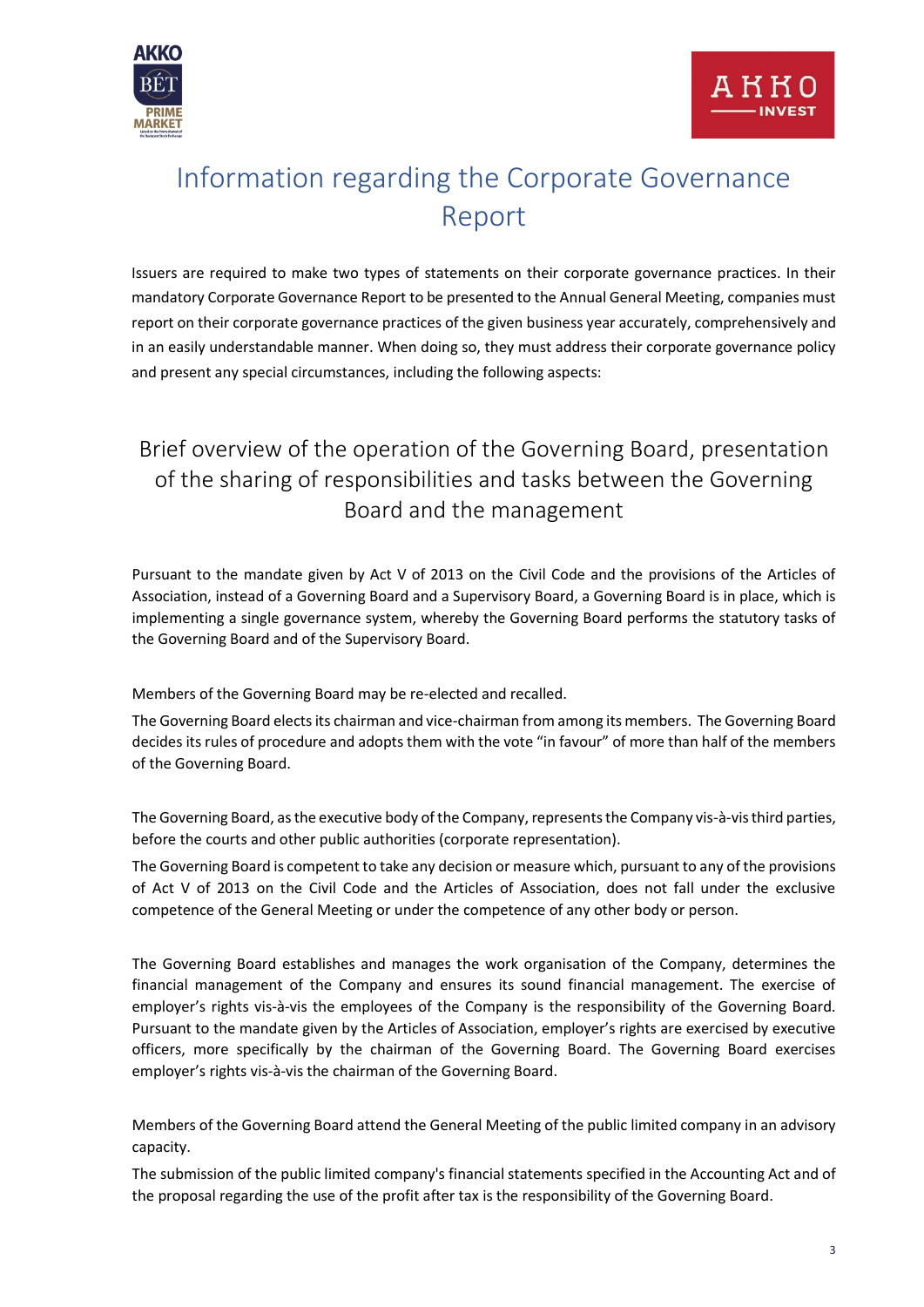

## <span id="page-2-0"></span>Information regarding the Corporate Governance Report

Issuers are required to make two types of statements on their corporate governance practices. In their mandatory Corporate Governance Report to be presented to the Annual General Meeting, companies must report on their corporate governance practices of the given business year accurately, comprehensively and in an easily understandable manner. When doing so, they must address their corporate governance policy and present any special circumstances, including the following aspects:

### <span id="page-2-1"></span>Brief overview of the operation of the Governing Board, presentation of the sharing of responsibilities and tasks between the Governing Board and the management

Pursuant to the mandate given by Act V of 2013 on the Civil Code and the provisions of the Articles of Association, instead of a Governing Board and a Supervisory Board, a Governing Board is in place, which is implementing a single governance system, whereby the Governing Board performs the statutory tasks of the Governing Board and of the Supervisory Board.

Members of the Governing Board may be re-elected and recalled.

The Governing Board elects its chairman and vice-chairman from among its members. The Governing Board decides its rules of procedure and adopts them with the vote "in favour" of more than half of the members of the Governing Board.

The Governing Board, as the executive body of the Company, represents the Company vis-à-vis third parties, before the courts and other public authorities (corporate representation).

The Governing Board is competent to take any decision or measure which, pursuant to any of the provisions of Act V of 2013 on the Civil Code and the Articles of Association, does not fall under the exclusive competence of the General Meeting or under the competence of any other body or person.

The Governing Board establishes and manages the work organisation of the Company, determines the financial management of the Company and ensures its sound financial management. The exercise of employer's rights vis-à-vis the employees of the Company is the responsibility of the Governing Board. Pursuant to the mandate given by the Articles of Association, employer's rights are exercised by executive officers, more specifically by the chairman of the Governing Board. The Governing Board exercises employer's rights vis-à-vis the chairman of the Governing Board.

Members of the Governing Board attend the General Meeting of the public limited company in an advisory capacity.

The submission of the public limited company's financial statements specified in the Accounting Act and of the proposal regarding the use of the profit after tax is the responsibility of the Governing Board.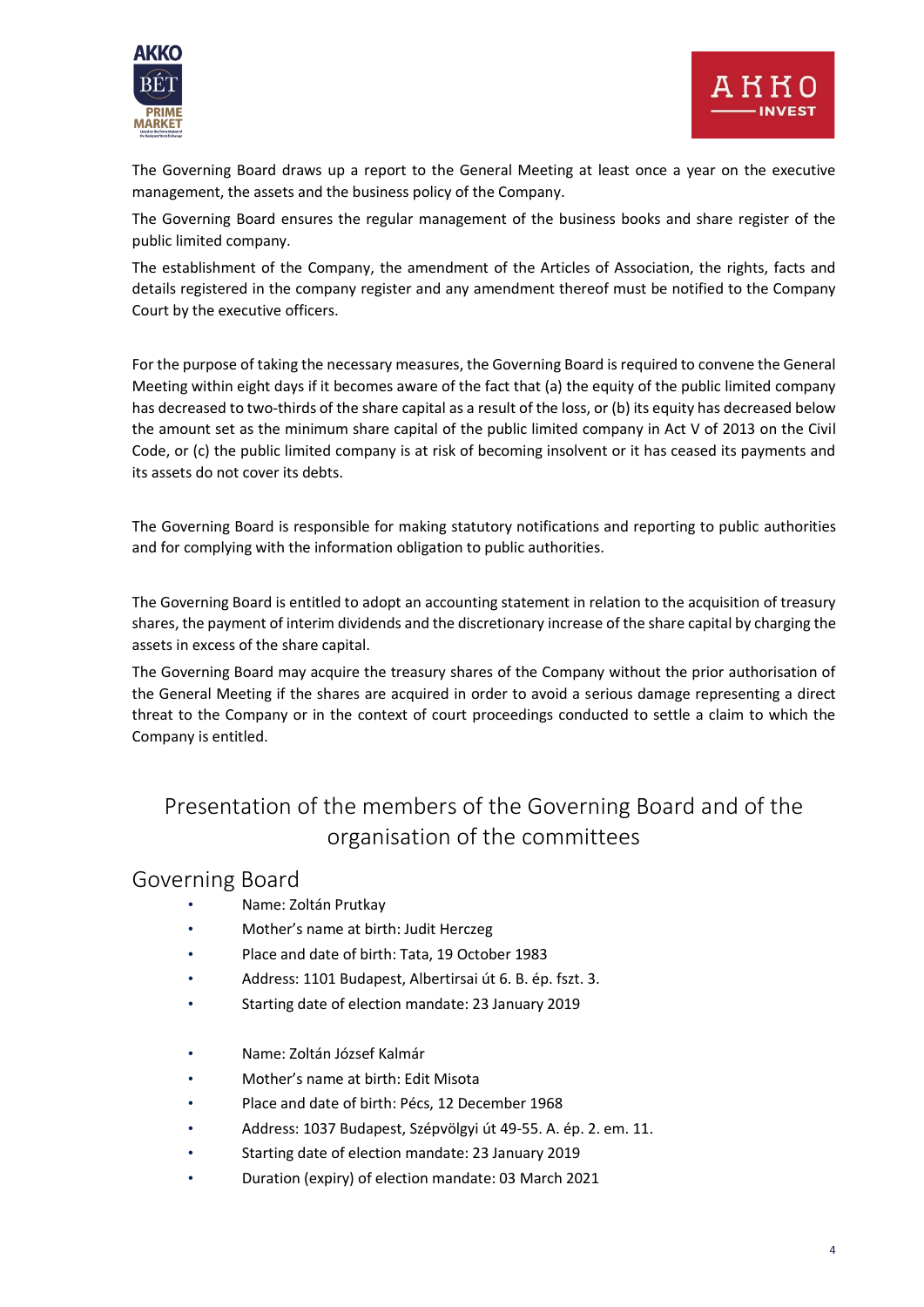



The Governing Board draws up a report to the General Meeting at least once a year on the executive management, the assets and the business policy of the Company.

The Governing Board ensures the regular management of the business books and share register of the public limited company.

The establishment of the Company, the amendment of the Articles of Association, the rights, facts and details registered in the company register and any amendment thereof must be notified to the Company Court by the executive officers.

For the purpose of taking the necessary measures, the Governing Board is required to convene the General Meeting within eight days if it becomes aware of the fact that (a) the equity of the public limited company has decreased to two-thirds of the share capital as a result of the loss, or (b) its equity has decreased below the amount set as the minimum share capital of the public limited company in Act V of 2013 on the Civil Code, or (c) the public limited company is at risk of becoming insolvent or it has ceased its payments and its assets do not cover its debts.

The Governing Board is responsible for making statutory notifications and reporting to public authorities and for complying with the information obligation to public authorities.

The Governing Board is entitled to adopt an accounting statement in relation to the acquisition of treasury shares, the payment of interim dividends and the discretionary increase of the share capital by charging the assets in excess of the share capital.

The Governing Board may acquire the treasury shares of the Company without the prior authorisation of the General Meeting if the shares are acquired in order to avoid a serious damage representing a direct threat to the Company or in the context of court proceedings conducted to settle a claim to which the Company is entitled.

### <span id="page-3-0"></span>Presentation of the members of the Governing Board and of the organisation of the committees

#### <span id="page-3-1"></span>Governing Board

- Name: Zoltán Prutkay
- Mother's name at birth: Judit Herczeg
- Place and date of birth: Tata, 19 October 1983
- Address: 1101 Budapest, Albertirsai út 6. B. ép. fszt. 3.
- Starting date of election mandate: 23 January 2019
- Name: Zoltán József Kalmár
- Mother's name at birth: Edit Misota
- Place and date of birth: Pécs, 12 December 1968
- Address: 1037 Budapest, Szépvölgyi út 49-55. A. ép. 2. em. 11.
- Starting date of election mandate: 23 January 2019
- Duration (expiry) of election mandate: 03 March 2021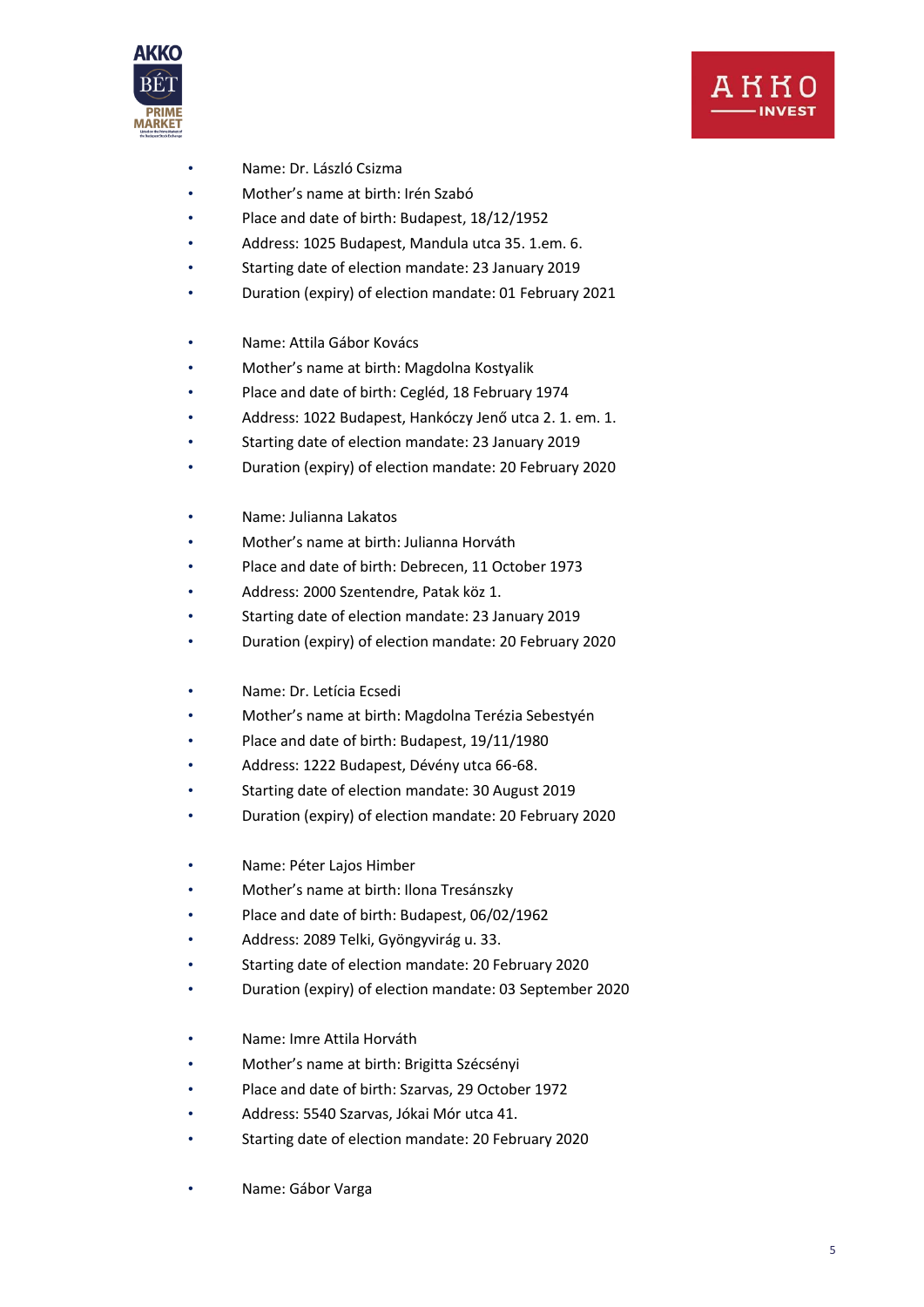



- Name: Dr. László Csizma
- Mother's name at birth: Irén Szabó
- Place and date of birth: Budapest, 18/12/1952
- Address: 1025 Budapest, Mandula utca 35. 1.em. 6.
- Starting date of election mandate: 23 January 2019
- Duration (expiry) of election mandate: 01 February 2021
- Name: Attila Gábor Kovács
- Mother's name at birth: Magdolna Kostyalik
- Place and date of birth: Cegléd, 18 February 1974
- Address: 1022 Budapest, Hankóczy Jenő utca 2. 1. em. 1.
- Starting date of election mandate: 23 January 2019
- Duration (expiry) of election mandate: 20 February 2020
- Name: Julianna Lakatos
- Mother's name at birth: Julianna Horváth
- Place and date of birth: Debrecen, 11 October 1973
- Address: 2000 Szentendre, Patak köz 1.
- Starting date of election mandate: 23 January 2019
- Duration (expiry) of election mandate: 20 February 2020
- Name: Dr. Letícia Ecsedi
- Mother's name at birth: Magdolna Terézia Sebestyén
- Place and date of birth: Budapest, 19/11/1980
- Address: 1222 Budapest, Dévény utca 66-68.
- Starting date of election mandate: 30 August 2019
- Duration (expiry) of election mandate: 20 February 2020
- Name: Péter Lajos Himber
- Mother's name at birth: Ilona Tresánszky
- Place and date of birth: Budapest, 06/02/1962
- Address: 2089 Telki, Gyöngyvirág u. 33.
- Starting date of election mandate: 20 February 2020
- Duration (expiry) of election mandate: 03 September 2020
- Name: Imre Attila Horváth
- Mother's name at birth: Brigitta Szécsényi
- Place and date of birth: Szarvas, 29 October 1972
- Address: 5540 Szarvas, Jókai Mór utca 41.
- Starting date of election mandate: 20 February 2020
- Name: Gábor Varga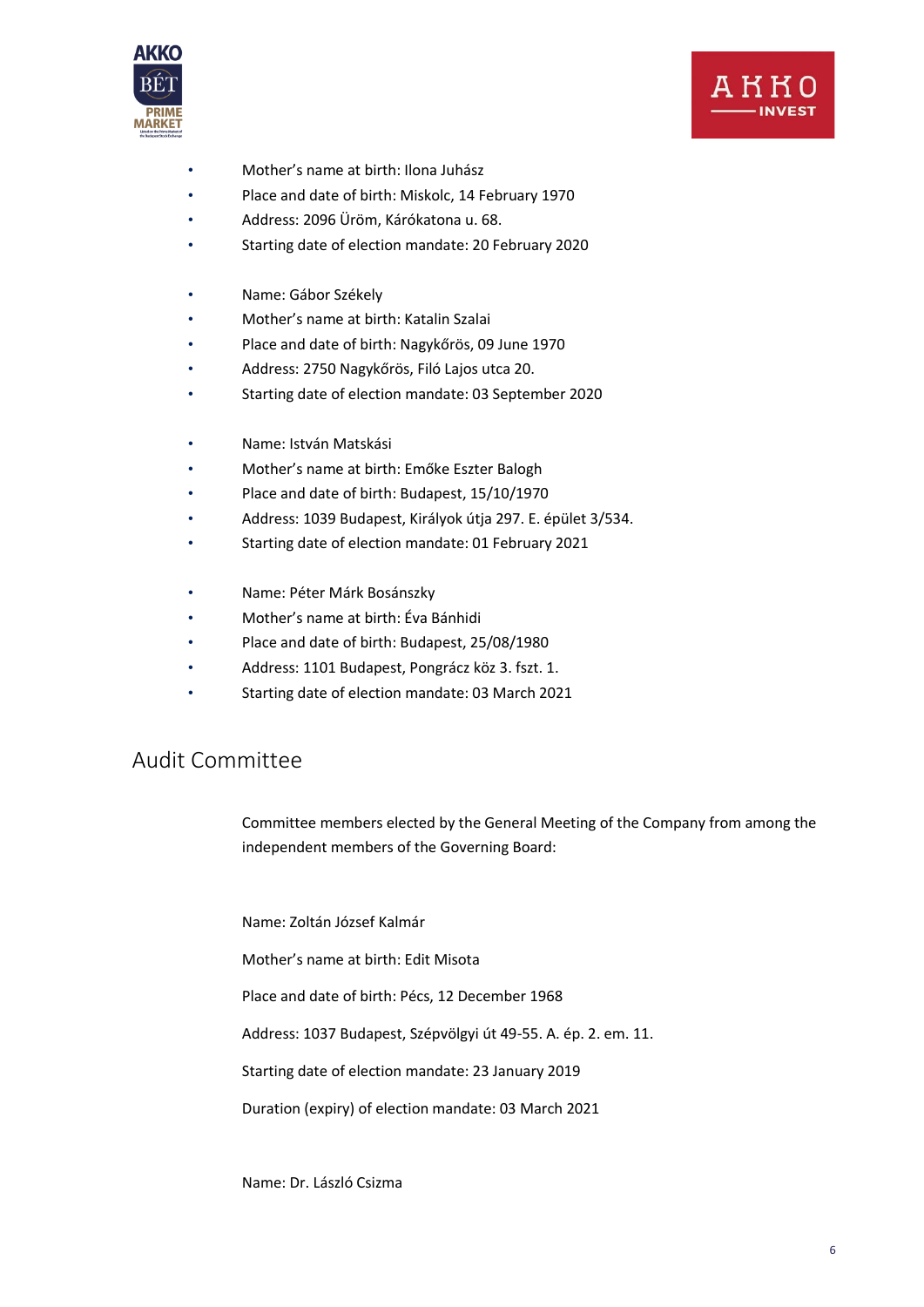



- Mother's name at birth: Ilona Juhász
- Place and date of birth: Miskolc, 14 February 1970
- Address: 2096 Üröm, Kárókatona u. 68.
- Starting date of election mandate: 20 February 2020
- Name: Gábor Székely
- Mother's name at birth: Katalin Szalai
- Place and date of birth: Nagykőrös, 09 June 1970
- Address: 2750 Nagykőrös, Filó Lajos utca 20.
- Starting date of election mandate: 03 September 2020
- Name: István Matskási
- Mother's name at birth: Emőke Eszter Balogh
- Place and date of birth: Budapest, 15/10/1970
- Address: 1039 Budapest, Királyok útja 297. E. épület 3/534.
- Starting date of election mandate: 01 February 2021
- Name: Péter Márk Bosánszky
- Mother's name at birth: Éva Bánhidi
- Place and date of birth: Budapest, 25/08/1980
- Address: 1101 Budapest, Pongrácz köz 3. fszt. 1.
- Starting date of election mandate: 03 March 2021

#### <span id="page-5-0"></span>Audit Committee

Committee members elected by the General Meeting of the Company from among the independent members of the Governing Board:

Name: Zoltán József Kalmár

Mother's name at birth: Edit Misota

Place and date of birth: Pécs, 12 December 1968

Address: 1037 Budapest, Szépvölgyi út 49-55. A. ép. 2. em. 11.

Starting date of election mandate: 23 January 2019

Duration (expiry) of election mandate: 03 March 2021

Name: Dr. László Csizma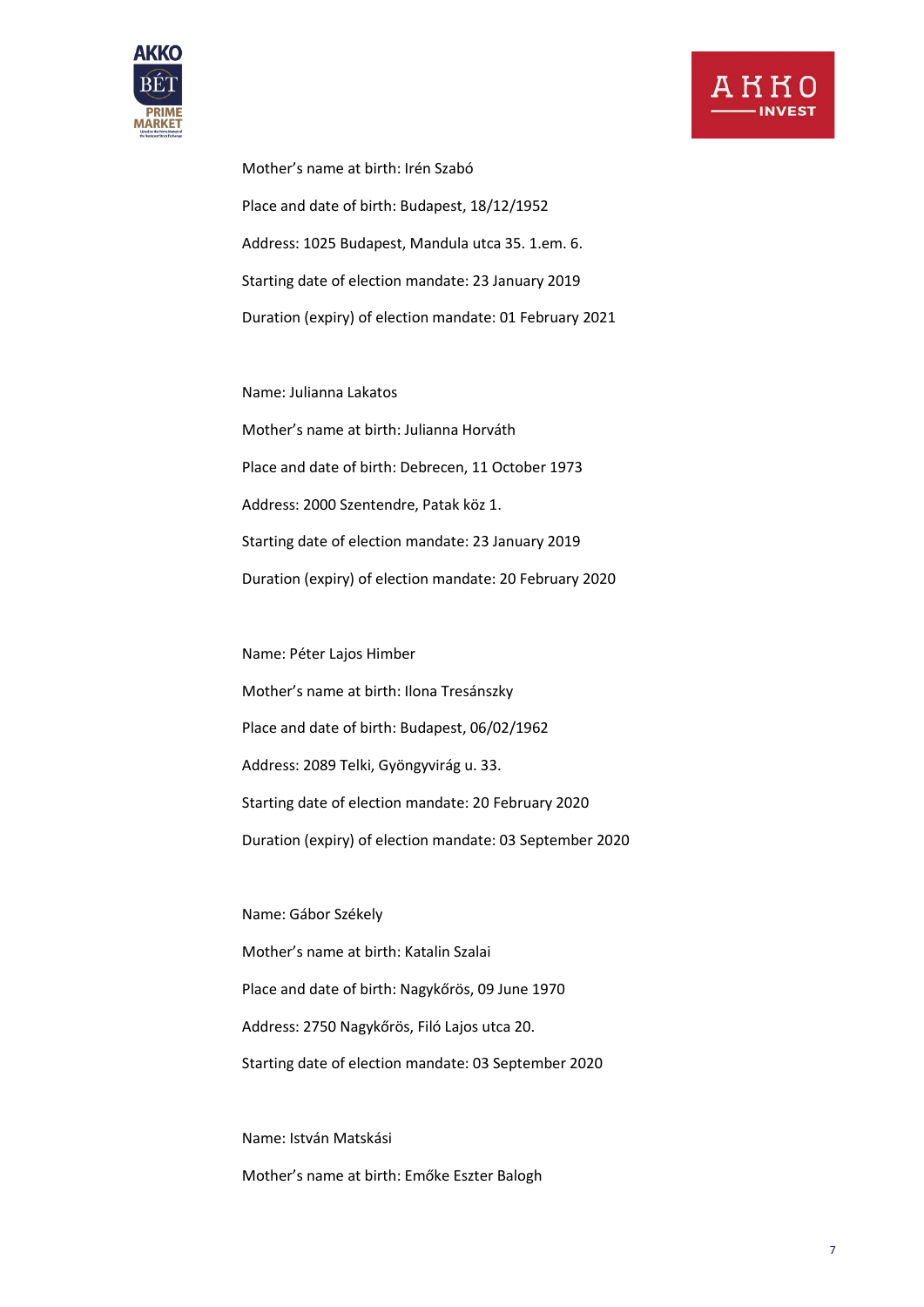



Mother's name at birth: Irén Szabó Place and date of birth: Budapest, 18/12/1952 Address: 1025 Budapest, Mandula utca 35. 1.em. 6. Starting date of election mandate: 23 January 2019 Duration (expiry) of election mandate: 01 February 2021

Name: Julianna Lakatos

Mother's name at birth: Julianna Horváth Place and date of birth: Debrecen, 11 October 1973 Address: 2000 Szentendre, Patak köz 1. Starting date of election mandate: 23 January 2019 Duration (expiry) of election mandate: 20 February 2020

Name: Péter Lajos Himber Mother's name at birth: Ilona Tresánszky Place and date of birth: Budapest, 06/02/1962 Address: 2089 Telki, Gyöngyvirág u. 33. Starting date of election mandate: 20 February 2020 Duration (expiry) of election mandate: 03 September 2020

Name: Gábor Székely Mother's name at birth: Katalin Szalai Place and date of birth: Nagykőrös, 09 June 1970 Address: 2750 Nagykőrös, Filó Lajos utca 20. Starting date of election mandate: 03 September 2020

Name: István Matskási Mother's name at birth: Emőke Eszter Balogh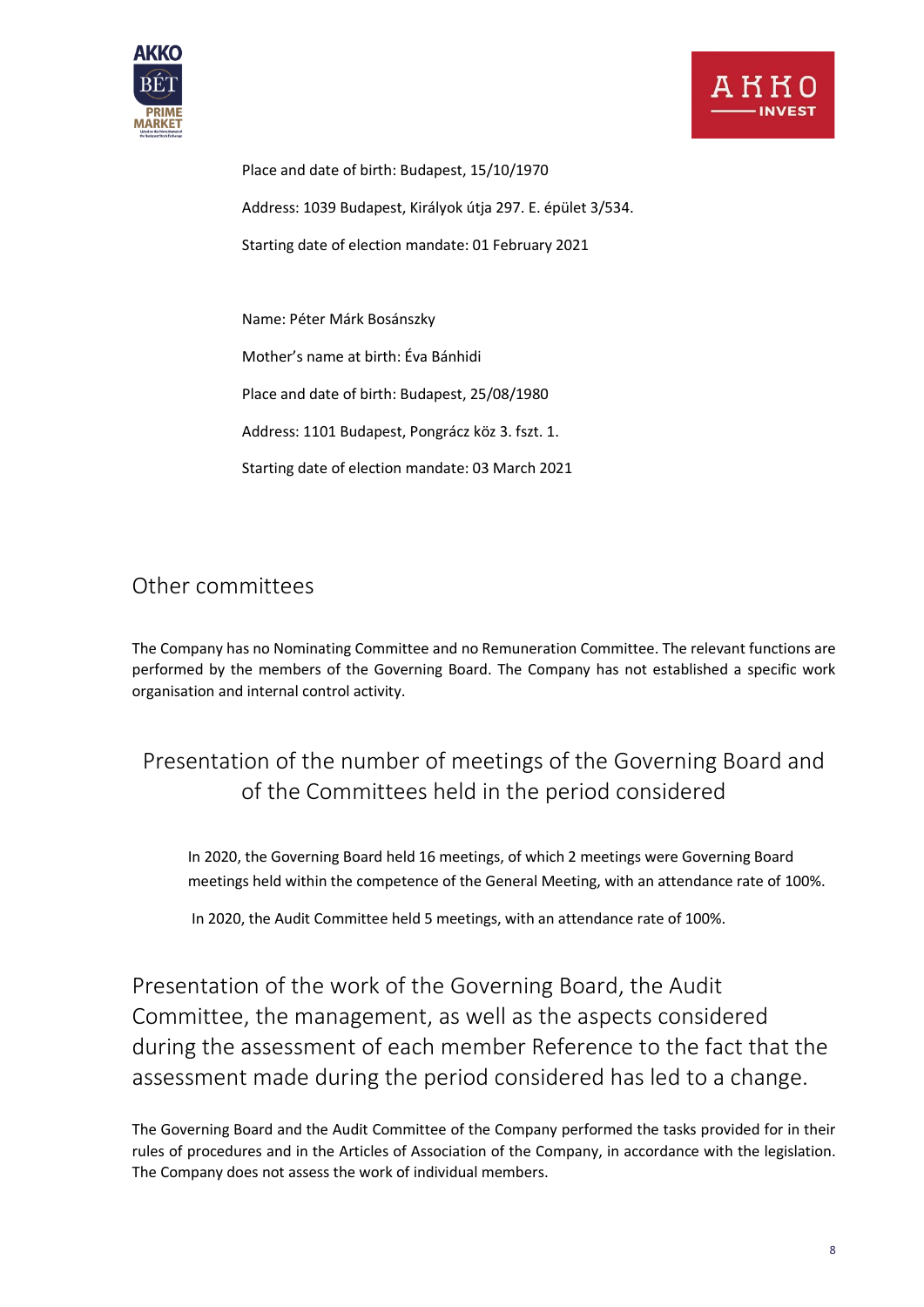



Place and date of birth: Budapest, 15/10/1970 Address: 1039 Budapest, Királyok útja 297. E. épület 3/534. Starting date of election mandate: 01 February 2021

Name: Péter Márk Bosánszky

Mother's name at birth: Éva Bánhidi

Place and date of birth: Budapest, 25/08/1980

Address: 1101 Budapest, Pongrácz köz 3. fszt. 1.

Starting date of election mandate: 03 March 2021

#### <span id="page-7-0"></span>Other committees

The Company has no Nominating Committee and no Remuneration Committee. The relevant functions are performed by the members of the Governing Board. The Company has not established a specific work organisation and internal control activity.

### <span id="page-7-1"></span>Presentation of the number of meetings of the Governing Board and of the Committees held in the period considered

In 2020, the Governing Board held 16 meetings, of which 2 meetings were Governing Board meetings held within the competence of the General Meeting, with an attendance rate of 100%.

In 2020, the Audit Committee held 5 meetings, with an attendance rate of 100%.

<span id="page-7-2"></span>Presentation of the work of the Governing Board, the Audit Committee, the management, as well as the aspects considered during the assessment of each member Reference to the fact that the assessment made during the period considered has led to a change.

The Governing Board and the Audit Committee of the Company performed the tasks provided for in their rules of procedures and in the Articles of Association of the Company, in accordance with the legislation. The Company does not assess the work of individual members.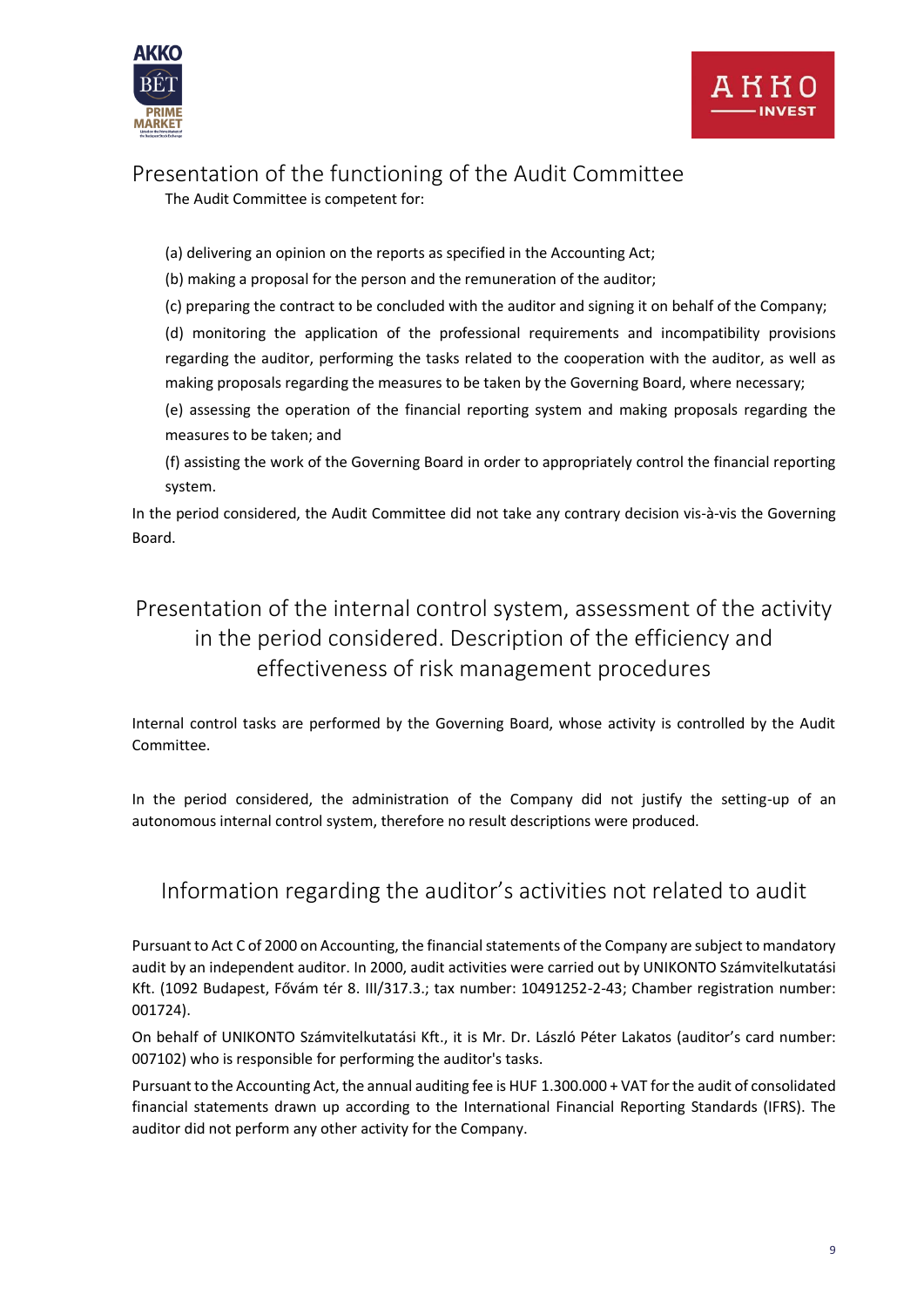



### <span id="page-8-0"></span>Presentation of the functioning of the Audit Committee

The Audit Committee is competent for:

(a) delivering an opinion on the reports as specified in the Accounting Act;

(b) making a proposal for the person and the remuneration of the auditor;

(c) preparing the contract to be concluded with the auditor and signing it on behalf of the Company;

(d) monitoring the application of the professional requirements and incompatibility provisions regarding the auditor, performing the tasks related to the cooperation with the auditor, as well as making proposals regarding the measures to be taken by the Governing Board, where necessary;

(e) assessing the operation of the financial reporting system and making proposals regarding the measures to be taken; and

(f) assisting the work of the Governing Board in order to appropriately control the financial reporting system.

In the period considered, the Audit Committee did not take any contrary decision vis-à-vis the Governing Board.

### <span id="page-8-1"></span>Presentation of the internal control system, assessment of the activity in the period considered. Description of the efficiency and effectiveness of risk management procedures

Internal control tasks are performed by the Governing Board, whose activity is controlled by the Audit Committee.

In the period considered, the administration of the Company did not justify the setting-up of an autonomous internal control system, therefore no result descriptions were produced.

### <span id="page-8-2"></span>Information regarding the auditor's activities not related to audit

Pursuant to Act C of 2000 on Accounting, the financial statements of the Company are subject to mandatory audit by an independent auditor. In 2000, audit activities were carried out by UNIKONTO Számvitelkutatási Kft. (1092 Budapest, Fővám tér 8. III/317.3.; tax number: 10491252-2-43; Chamber registration number: 001724).

On behalf of UNIKONTO Számvitelkutatási Kft., it is Mr. Dr. László Péter Lakatos (auditor's card number: 007102) who is responsible for performing the auditor's tasks.

Pursuant to the Accounting Act, the annual auditing fee is HUF 1.300.000 + VAT for the audit of consolidated financial statements drawn up according to the International Financial Reporting Standards (IFRS). The auditor did not perform any other activity for the Company.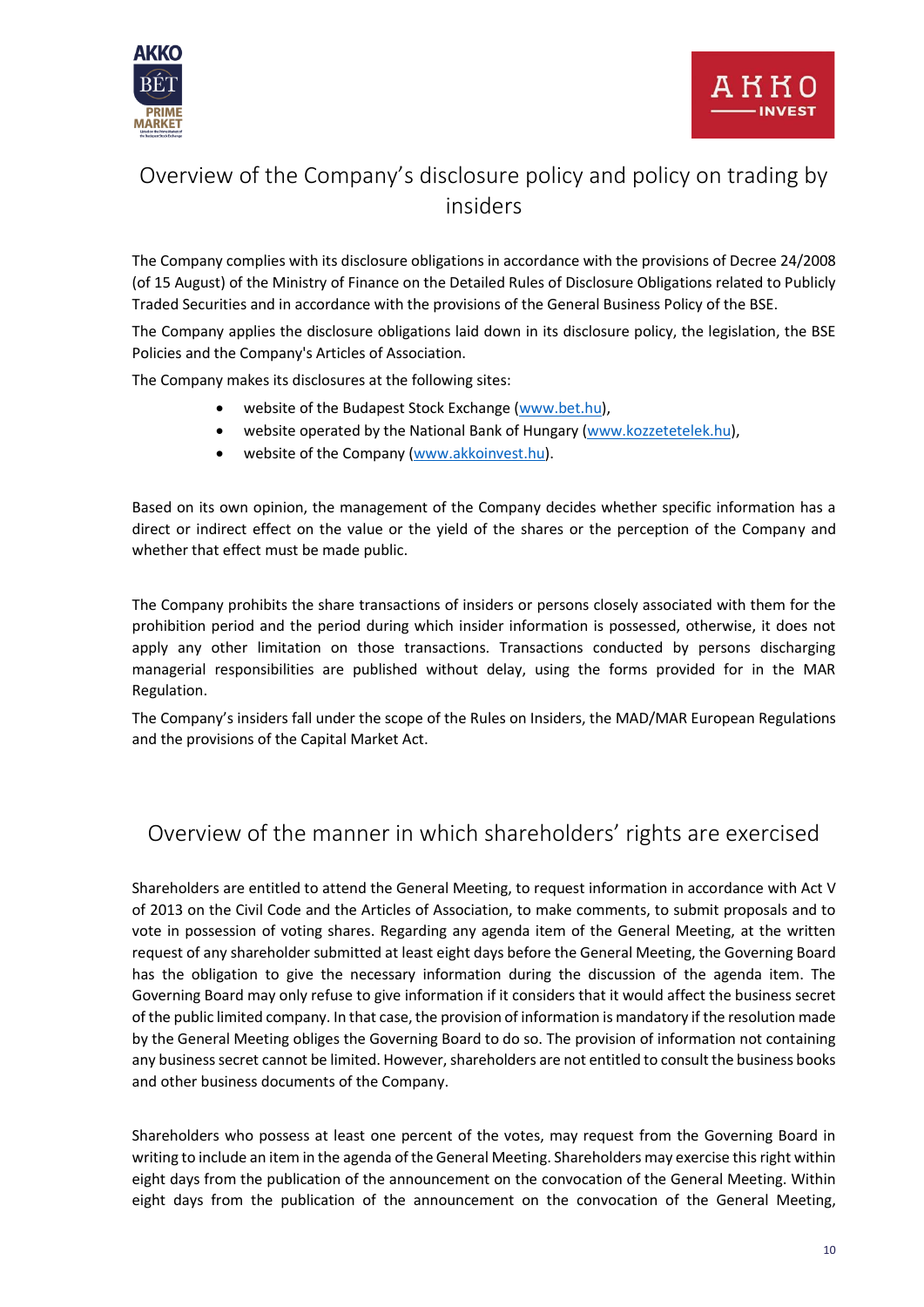

### <span id="page-9-0"></span>Overview of the Company's disclosure policy and policy on trading by insiders

The Company complies with its disclosure obligations in accordance with the provisions of Decree 24/2008 (of 15 August) of the Ministry of Finance on the Detailed Rules of Disclosure Obligations related to Publicly Traded Securities and in accordance with the provisions of the General Business Policy of the BSE.

The Company applies the disclosure obligations laid down in its disclosure policy, the legislation, the BSE Policies and the Company's Articles of Association.

The Company makes its disclosures at the following sites:

- website of the Budapest Stock Exchange [\(www.bet.hu\)](http://www.bet.hu/),
- website operated by the National Bank of Hungary [\(www.kozzetetelek.hu\)](http://www.kozzetetelek.hu/),
- website of the Company [\(www.akkoinvest.hu\)](http://www.akkoinvest.hu/).

Based on its own opinion, the management of the Company decides whether specific information has a direct or indirect effect on the value or the yield of the shares or the perception of the Company and whether that effect must be made public.

The Company prohibits the share transactions of insiders or persons closely associated with them for the prohibition period and the period during which insider information is possessed, otherwise, it does not apply any other limitation on those transactions. Transactions conducted by persons discharging managerial responsibilities are published without delay, using the forms provided for in the MAR Regulation.

The Company's insiders fall under the scope of the Rules on Insiders, the MAD/MAR European Regulations and the provisions of the Capital Market Act.

### <span id="page-9-1"></span>Overview of the manner in which shareholders' rights are exercised

Shareholders are entitled to attend the General Meeting, to request information in accordance with Act V of 2013 on the Civil Code and the Articles of Association, to make comments, to submit proposals and to vote in possession of voting shares. Regarding any agenda item of the General Meeting, at the written request of any shareholder submitted at least eight days before the General Meeting, the Governing Board has the obligation to give the necessary information during the discussion of the agenda item. The Governing Board may only refuse to give information if it considers that it would affect the business secret of the public limited company. In that case, the provision of information is mandatory if the resolution made by the General Meeting obliges the Governing Board to do so. The provision of information not containing any business secret cannot be limited. However, shareholders are not entitled to consult the business books and other business documents of the Company.

Shareholders who possess at least one percent of the votes, may request from the Governing Board in writing to include an item in the agenda of the General Meeting. Shareholders may exercise this right within eight days from the publication of the announcement on the convocation of the General Meeting. Within eight days from the publication of the announcement on the convocation of the General Meeting,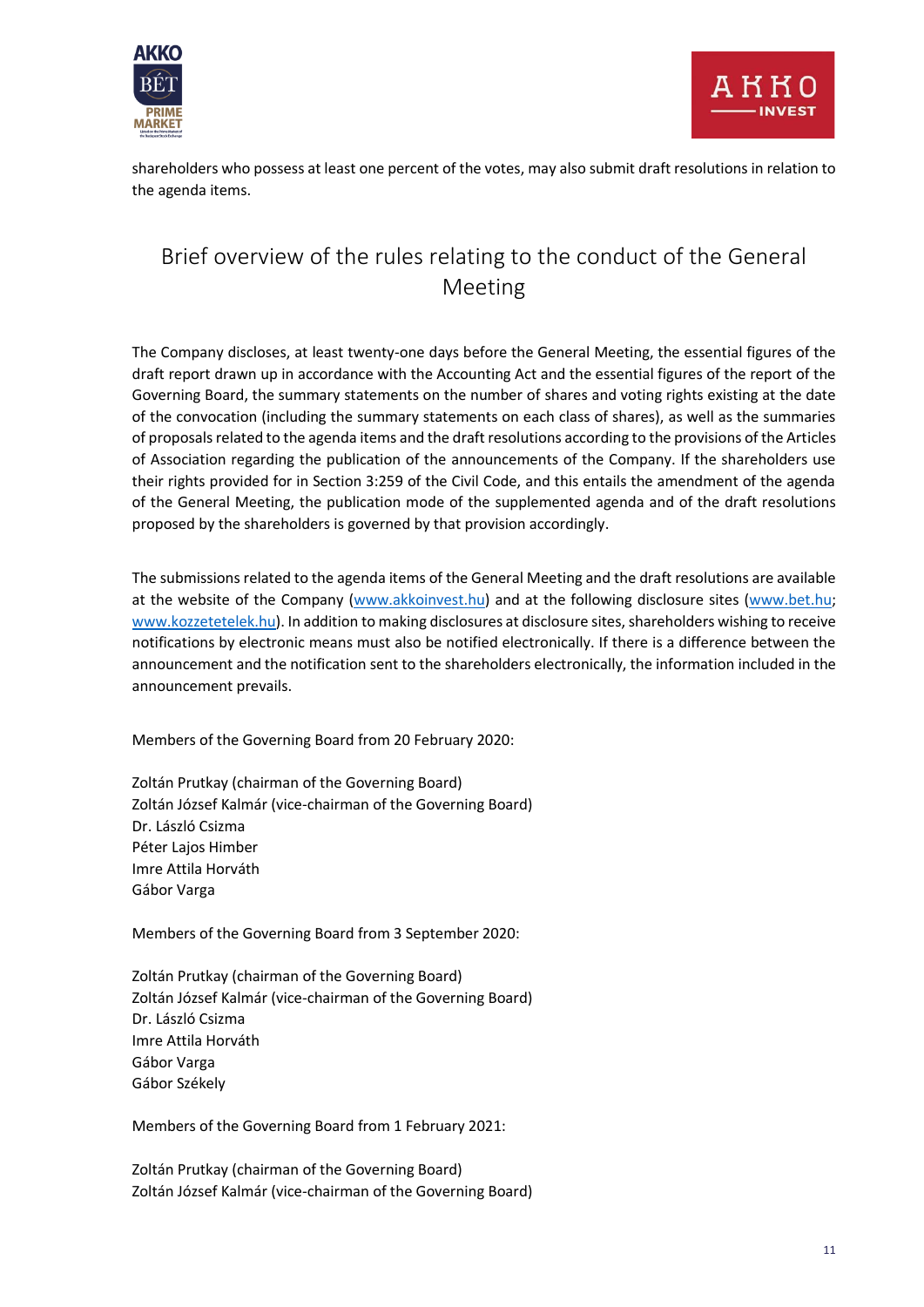



shareholders who possess at least one percent of the votes, may also submit draft resolutions in relation to the agenda items.

### <span id="page-10-0"></span>Brief overview of the rules relating to the conduct of the General Meeting

The Company discloses, at least twenty-one days before the General Meeting, the essential figures of the draft report drawn up in accordance with the Accounting Act and the essential figures of the report of the Governing Board, the summary statements on the number of shares and voting rights existing at the date of the convocation (including the summary statements on each class of shares), as well as the summaries of proposals related to the agenda items and the draft resolutions according to the provisions of the Articles of Association regarding the publication of the announcements of the Company. If the shareholders use their rights provided for in Section 3:259 of the Civil Code, and this entails the amendment of the agenda of the General Meeting, the publication mode of the supplemented agenda and of the draft resolutions proposed by the shareholders is governed by that provision accordingly.

The submissions related to the agenda items of the General Meeting and the draft resolutions are available at the website of the Company [\(www.akkoinvest.hu\)](http://www.akkoinvest.hu/) and at the following disclosure sites [\(www.bet.hu;](http://www.bet.hu/) [www.kozzetetelek.hu\)](http://www.kozzetetelek.hu/). In addition to making disclosures at disclosure sites, shareholders wishing to receive notifications by electronic means must also be notified electronically. If there is a difference between the announcement and the notification sent to the shareholders electronically, the information included in the announcement prevails.

Members of the Governing Board from 20 February 2020:

Zoltán Prutkay (chairman of the Governing Board) Zoltán József Kalmár (vice-chairman of the Governing Board) Dr. László Csizma Péter Lajos Himber Imre Attila Horváth Gábor Varga

Members of the Governing Board from 3 September 2020:

Zoltán Prutkay (chairman of the Governing Board) Zoltán József Kalmár (vice-chairman of the Governing Board) Dr. László Csizma Imre Attila Horváth Gábor Varga Gábor Székely

Members of the Governing Board from 1 February 2021:

Zoltán Prutkay (chairman of the Governing Board) Zoltán József Kalmár (vice-chairman of the Governing Board)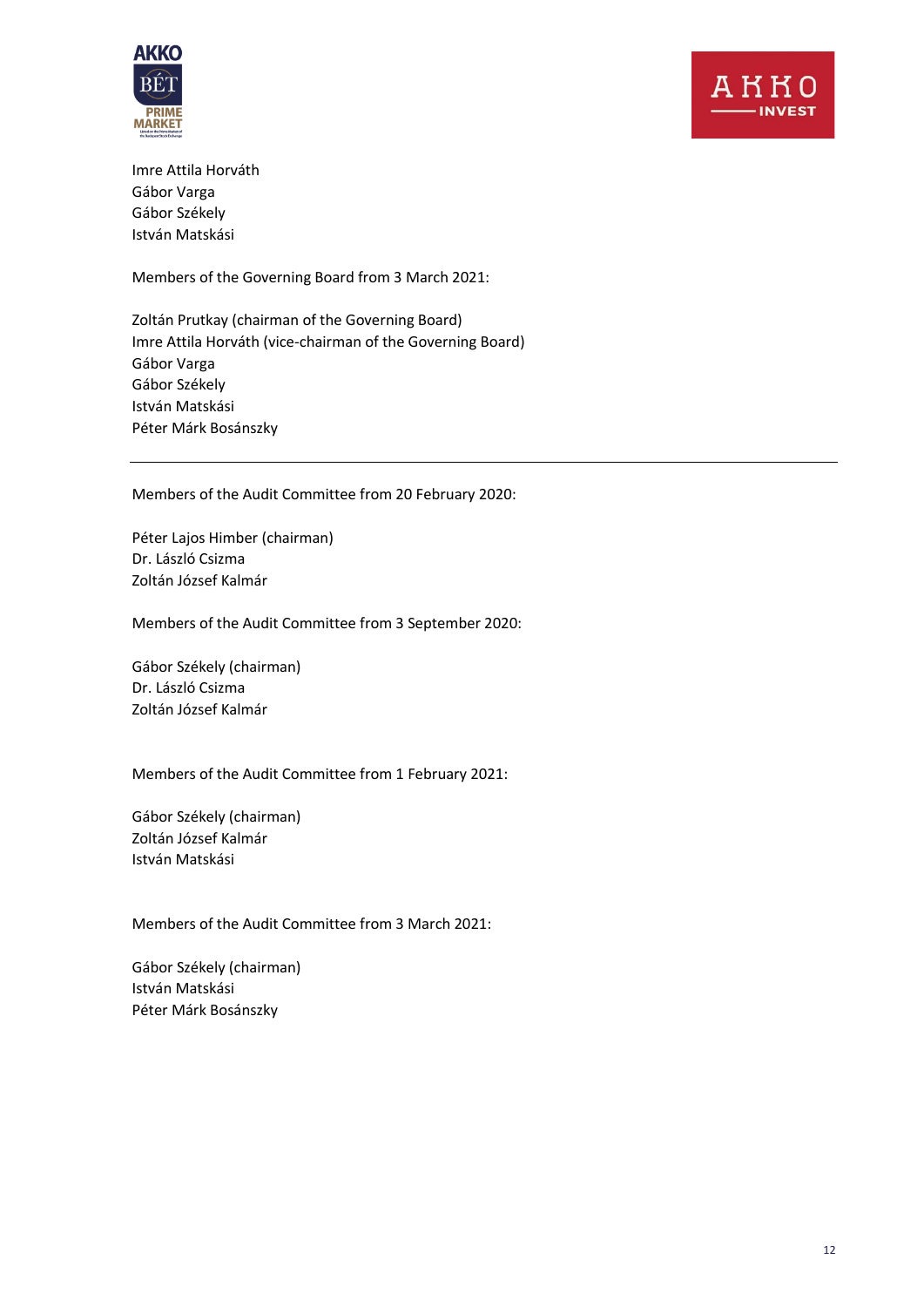

Imre Attila Horváth Gábor Varga Gábor Székely István Matskási

Members of the Governing Board from 3 March 2021:

Zoltán Prutkay (chairman of the Governing Board) Imre Attila Horváth (vice-chairman of the Governing Board) Gábor Varga Gábor Székely István Matskási Péter Márk Bosánszky

Members of the Audit Committee from 20 February 2020:

Péter Lajos Himber (chairman) Dr. László Csizma Zoltán József Kalmár

Members of the Audit Committee from 3 September 2020:

Gábor Székely (chairman) Dr. László Csizma Zoltán József Kalmár

Members of the Audit Committee from 1 February 2021:

Gábor Székely (chairman) Zoltán József Kalmár István Matskási

Members of the Audit Committee from 3 March 2021:

Gábor Székely (chairman) István Matskási Péter Márk Bosánszky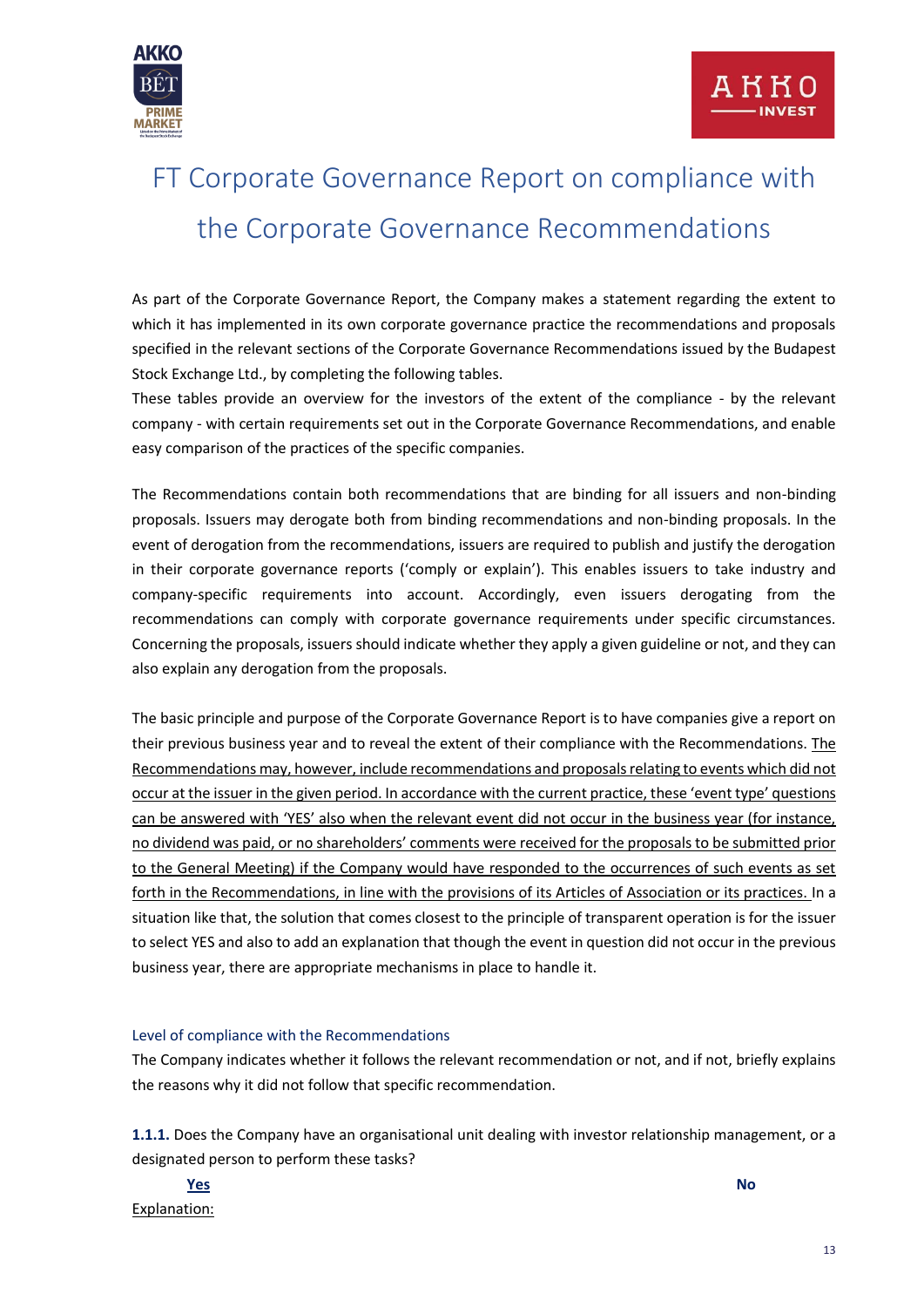

## <span id="page-12-0"></span>FT Corporate Governance Report on compliance with the Corporate Governance Recommendations

As part of the Corporate Governance Report, the Company makes a statement regarding the extent to which it has implemented in its own corporate governance practice the recommendations and proposals specified in the relevant sections of the Corporate Governance Recommendations issued by the Budapest Stock Exchange Ltd., by completing the following tables.

These tables provide an overview for the investors of the extent of the compliance - by the relevant company - with certain requirements set out in the Corporate Governance Recommendations, and enable easy comparison of the practices of the specific companies.

The Recommendations contain both recommendations that are binding for all issuers and non-binding proposals. Issuers may derogate both from binding recommendations and non-binding proposals. In the event of derogation from the recommendations, issuers are required to publish and justify the derogation in their corporate governance reports ('comply or explain'). This enables issuers to take industry and company-specific requirements into account. Accordingly, even issuers derogating from the recommendations can comply with corporate governance requirements under specific circumstances. Concerning the proposals, issuers should indicate whether they apply a given guideline or not, and they can also explain any derogation from the proposals.

The basic principle and purpose of the Corporate Governance Report is to have companies give a report on their previous business year and to reveal the extent of their compliance with the Recommendations. The Recommendations may, however, include recommendations and proposals relating to events which did not occur at the issuer in the given period. In accordance with the current practice, these 'event type' questions can be answered with 'YES' also when the relevant event did not occur in the business year (for instance, no dividend was paid, or no shareholders' comments were received for the proposals to be submitted prior to the General Meeting) if the Company would have responded to the occurrences of such events as set forth in the Recommendations, in line with the provisions of its Articles of Association or its practices. In a situation like that, the solution that comes closest to the principle of transparent operation is for the issuer to select YES and also to add an explanation that though the event in question did not occur in the previous business year, there are appropriate mechanisms in place to handle it.

#### Level of compliance with the Recommendations

The Company indicates whether it follows the relevant recommendation or not, and if not, briefly explains the reasons why it did not follow that specific recommendation.

**1.1.1.** Does the Company have an organisational unit dealing with investor relationship management, or a designated person to perform these tasks?

Explanation:

**Yes No**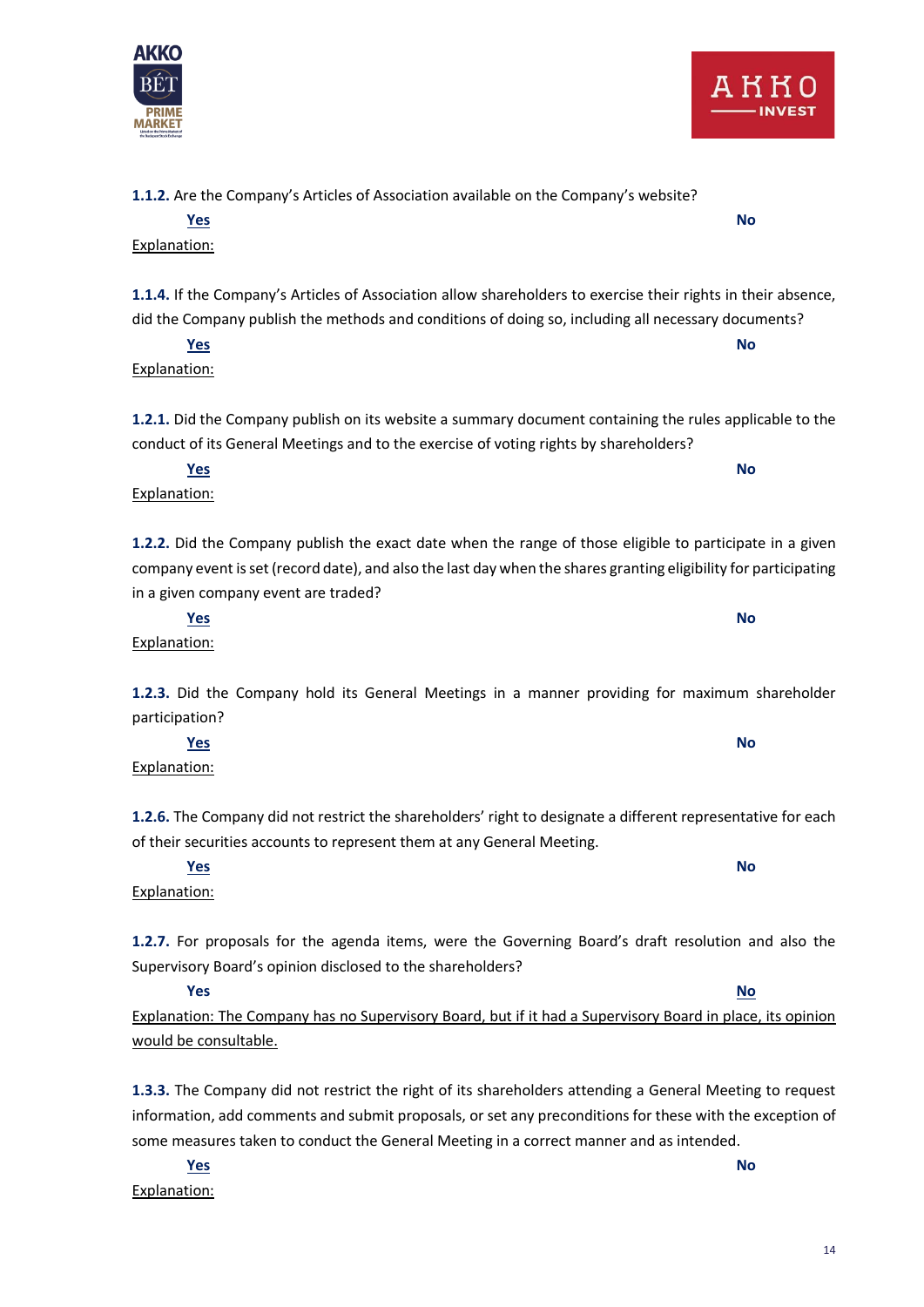**1.1.2.** Are the Company's Articles of Association available on the Company's website?

**1.1.4.** If the Company's Articles of Association allow shareholders to exercise their rights in their absence, did the Company publish the methods and conditions of doing so, including all necessary documents?

**Yes No**

Explanation: **1.2.1.** Did the Company publish on its website a summary document containing the rules applicable to the

**Yes No**

conduct of its General Meetings and to the exercise of voting rights by shareholders? **Yes No**

**1.2.2.** Did the Company publish the exact date when the range of those eligible to participate in a given company event is set (record date), and also the last day when the shares granting eligibility for participating in a given company event are traded?

**1.2.3.** Did the Company hold its General Meetings in a manner providing for maximum shareholder

participation? **Yes No**

**1.2.6.** The Company did not restrict the shareholders' right to designate a different representative for each of their securities accounts to represent them at any General Meeting. **Yes No**

**1.2.7.** For proposals for the agenda items, were the Governing Board's draft resolution and also the Supervisory Board's opinion disclosed to the shareholders?

**Yes No** Explanation: The Company has no Supervisory Board, but if it had a Supervisory Board in place, its opinion would be consultable.

**1.3.3.** The Company did not restrict the right of its shareholders attending a General Meeting to request information, add comments and submit proposals, or set any preconditions for these with the exception of some measures taken to conduct the General Meeting in a correct manner and as intended.

**Yes No** Explanation:

Explanation:

Explanation:

Explanation:

**Yes No**

Explanation:



Explanation: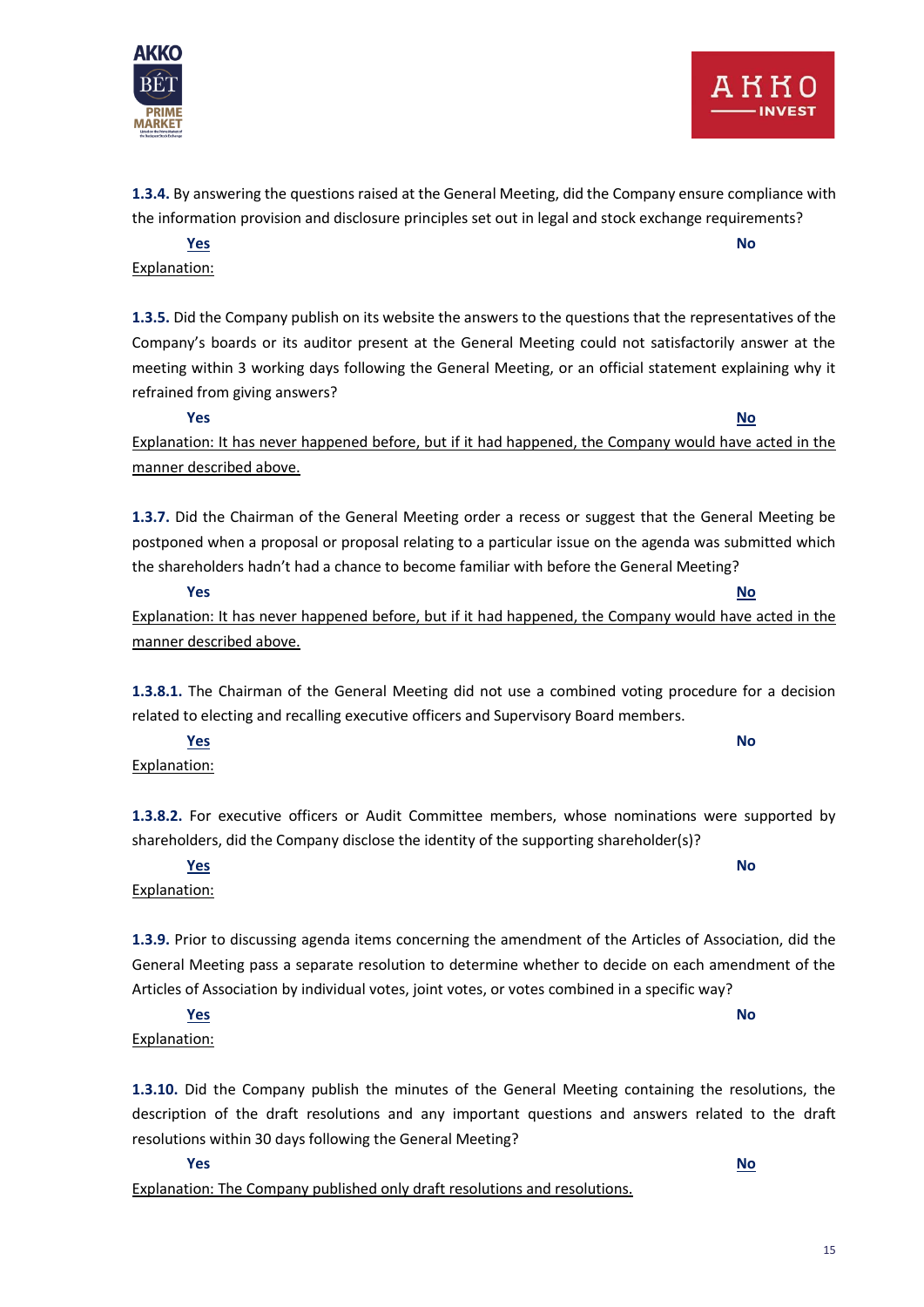



**1.3.4.** By answering the questions raised at the General Meeting, did the Company ensure compliance with the information provision and disclosure principles set out in legal and stock exchange requirements?

**Yes No** Explanation:

**1.3.5.** Did the Company publish on its website the answers to the questions that the representatives of the Company's boards or its auditor present at the General Meeting could not satisfactorily answer at the meeting within 3 working days following the General Meeting, or an official statement explaining why it refrained from giving answers?

**Yes No** Explanation: It has never happened before, but if it had happened, the Company would have acted in the manner described above.

**1.3.7.** Did the Chairman of the General Meeting order a recess or suggest that the General Meeting be postponed when a proposal or proposal relating to a particular issue on the agenda was submitted which the shareholders hadn't had a chance to become familiar with before the General Meeting?

**Yes No**

Explanation: It has never happened before, but if it had happened, the Company would have acted in the manner described above.

**1.3.8.1.** The Chairman of the General Meeting did not use a combined voting procedure for a decision related to electing and recalling executive officers and Supervisory Board members.

**Yes No**

Explanation:

**1.3.8.2.** For executive officers or Audit Committee members, whose nominations were supported by shareholders, did the Company disclose the identity of the supporting shareholder(s)?

**Yes No**

Explanation: **1.3.9.** Prior to discussing agenda items concerning the amendment of the Articles of Association, did the General Meeting pass a separate resolution to determine whether to decide on each amendment of the

#### Articles of Association by individual votes, joint votes, or votes combined in a specific way? **Yes No**

Explanation:

**1.3.10.** Did the Company publish the minutes of the General Meeting containing the resolutions, the description of the draft resolutions and any important questions and answers related to the draft resolutions within 30 days following the General Meeting?

**Yes No** Explanation: The Company published only draft resolutions and resolutions.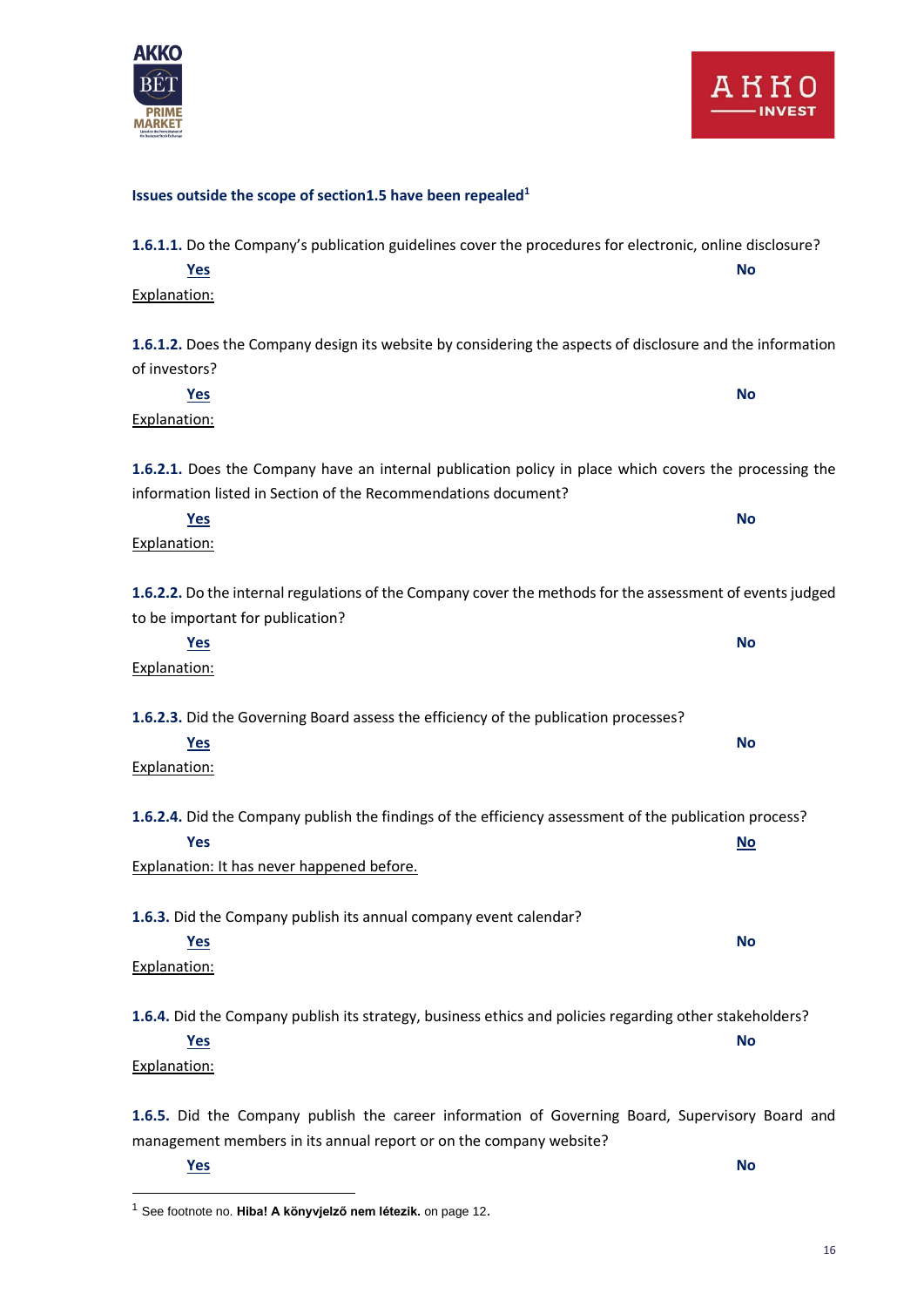

**Issues outside the scope of section1.5 have been repealed<sup>1</sup>**

| 1.6.1.1. Do the Company's publication guidelines cover the procedures for electronic, online disclosure?  |           |  |
|-----------------------------------------------------------------------------------------------------------|-----------|--|
| <b>Yes</b>                                                                                                | <b>No</b> |  |
| Explanation:                                                                                              |           |  |
|                                                                                                           |           |  |
| 1.6.1.2. Does the Company design its website by considering the aspects of disclosure and the information |           |  |
| of investors?                                                                                             |           |  |
| Yes                                                                                                       | <b>No</b> |  |
| Explanation:                                                                                              |           |  |
|                                                                                                           |           |  |
| 1.6.2.1. Does the Company have an internal publication policy in place which covers the processing the    |           |  |
| information listed in Section of the Recommendations document?                                            |           |  |
| <u>Yes</u>                                                                                                | <b>No</b> |  |
| Explanation:                                                                                              |           |  |
|                                                                                                           |           |  |
| 1.6.2.2. Do the internal regulations of the Company cover the methods for the assessment of events judged |           |  |
| to be important for publication?                                                                          |           |  |
| Yes                                                                                                       | <b>No</b> |  |
| Explanation:                                                                                              |           |  |
|                                                                                                           |           |  |
| 1.6.2.3. Did the Governing Board assess the efficiency of the publication processes?                      |           |  |
| Yes                                                                                                       | <b>No</b> |  |
| Explanation:                                                                                              |           |  |
|                                                                                                           |           |  |
| 1.6.2.4. Did the Company publish the findings of the efficiency assessment of the publication process?    |           |  |
| <b>Yes</b>                                                                                                | <b>No</b> |  |
| Explanation: It has never happened before.                                                                |           |  |
| 1.6.3. Did the Company publish its annual company event calendar?                                         |           |  |
|                                                                                                           | <b>No</b> |  |
| <b>Yes</b>                                                                                                |           |  |
| Explanation:                                                                                              |           |  |
| 1.6.4. Did the Company publish its strategy, business ethics and policies regarding other stakeholders?   |           |  |
| <u>Yes</u>                                                                                                | <b>No</b> |  |
| Explanation:                                                                                              |           |  |
|                                                                                                           |           |  |
| 1.6.5. Did the Company publish the career information of Governing Board, Supervisory Board and           |           |  |
| management members in its annual report or on the company website?                                        |           |  |

**Yes No**

<sup>1</sup> See footnote no. **Hiba! A könyvjelző nem létezik.** on page 12.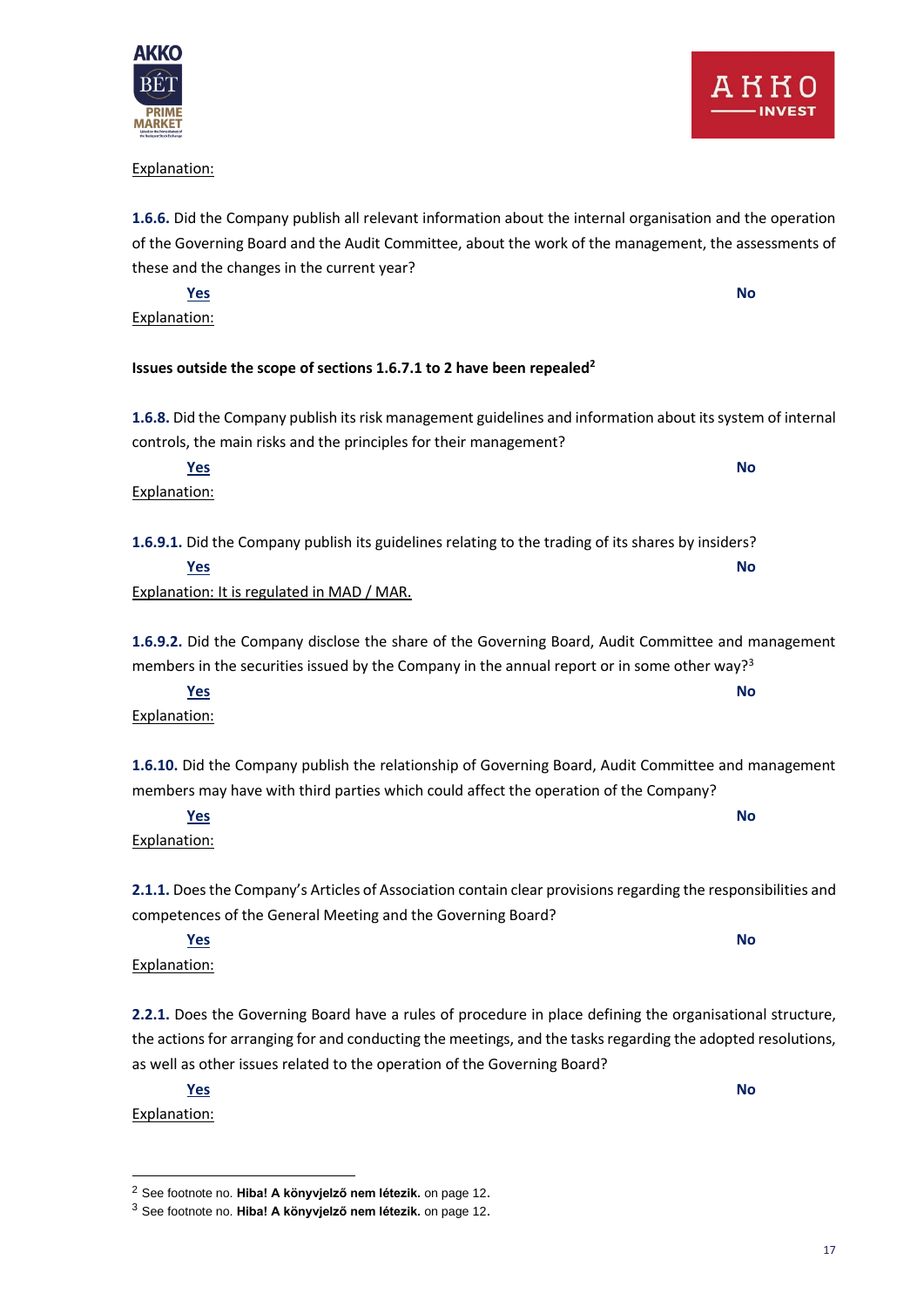#### Explanation:

**1.6.6.** Did the Company publish all relevant information about the internal organisation and the operation of the Governing Board and the Audit Committee, about the work of the management, the assessments of these and the changes in the current year?

**Yes No** Explanation:

#### **Issues outside the scope of sections 1.6.7.1 to 2 have been repealed<sup>2</sup>**

**1.6.8.** Did the Company publish its risk management guidelines and information about its system of internal controls, the main risks and the principles for their management?

**Yes No** Explanation: **1.6.9.1.** Did the Company publish its guidelines relating to the trading of its shares by insiders?

**Yes No** Explanation: It is regulated in MAD / MAR.

members may have with third parties which could affect the operation of the Company?

**1.6.9.2.** Did the Company disclose the share of the Governing Board, Audit Committee and management members in the securities issued by the Company in the annual report or in some other way?<sup>3</sup>

Explanation: **1.6.10.** Did the Company publish the relationship of Governing Board, Audit Committee and management

**Yes No**

**Yes No** Explanation:

**2.1.1.** Does the Company's Articles of Association contain clear provisions regarding the responsibilities and competences of the General Meeting and the Governing Board?

**Yes No**

Explanation:

**2.2.1.** Does the Governing Board have a rules of procedure in place defining the organisational structure, the actions for arranging for and conducting the meetings, and the tasks regarding the adopted resolutions, as well as other issues related to the operation of the Governing Board?

**Yes No** Explanation:

<sup>2</sup> See footnote no. **Hiba! A könyvjelző nem létezik.** on page 12.

<sup>3</sup> See footnote no. **Hiba! A könyvjelző nem létezik.** on page 12.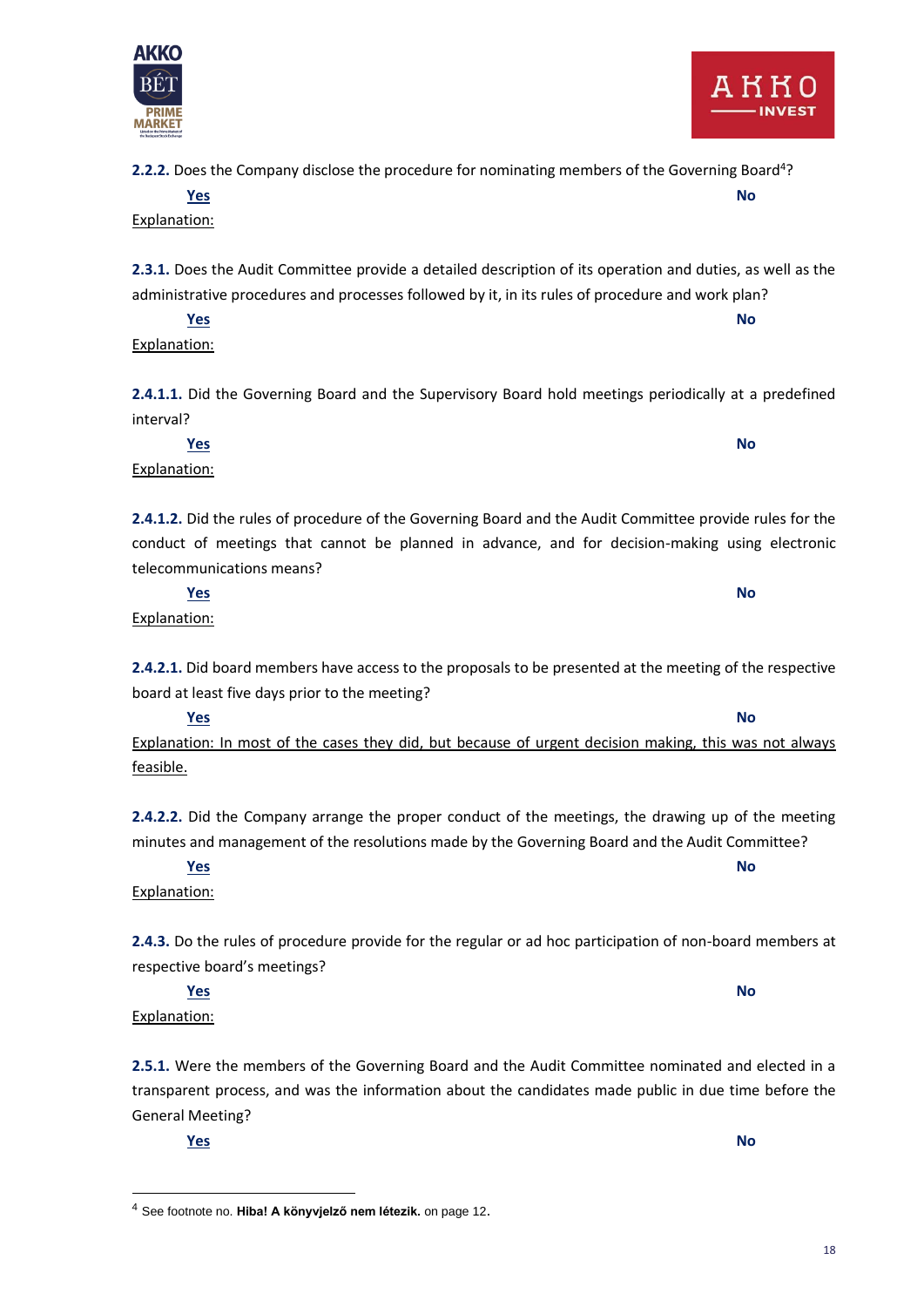**2.2.2.** Does the Company disclose the procedure for nominating members of the Governing Board<sup>4</sup>? **Yes No**

**2.3.1.** Does the Audit Committee provide a detailed description of its operation and duties, as well as the administrative procedures and processes followed by it, in its rules of procedure and work plan?

**Yes No** Explanation:

**2.4.1.1.** Did the Governing Board and the Supervisory Board hold meetings periodically at a predefined interval?

**Yes No**

**2.4.1.2.** Did the rules of procedure of the Governing Board and the Audit Committee provide rules for the conduct of meetings that cannot be planned in advance, and for decision-making using electronic telecommunications means?

**2.4.2.1.** Did board members have access to the proposals to be presented at the meeting of the respective board at least five days prior to the meeting?

**Yes No** Explanation: In most of the cases they did, but because of urgent decision making, this was not always feasible.

**2.4.2.2.** Did the Company arrange the proper conduct of the meetings, the drawing up of the meeting minutes and management of the resolutions made by the Governing Board and the Audit Committee?

**2.4.3.** Do the rules of procedure provide for the regular or ad hoc participation of non-board members at

**2.5.1.** Were the members of the Governing Board and the Audit Committee nominated and elected in a transparent process, and was the information about the candidates made public in due time before the General Meeting?

**Yes No**

#### **Yes No** Explanation:

respective board's meetings?

**Yes No** Explanation:

**Yes No**

Explanation:

Explanation:

Explanation:



**PRIME MARKET** 

<sup>4</sup> See footnote no. **Hiba! A könyvjelző nem létezik.** on page 12.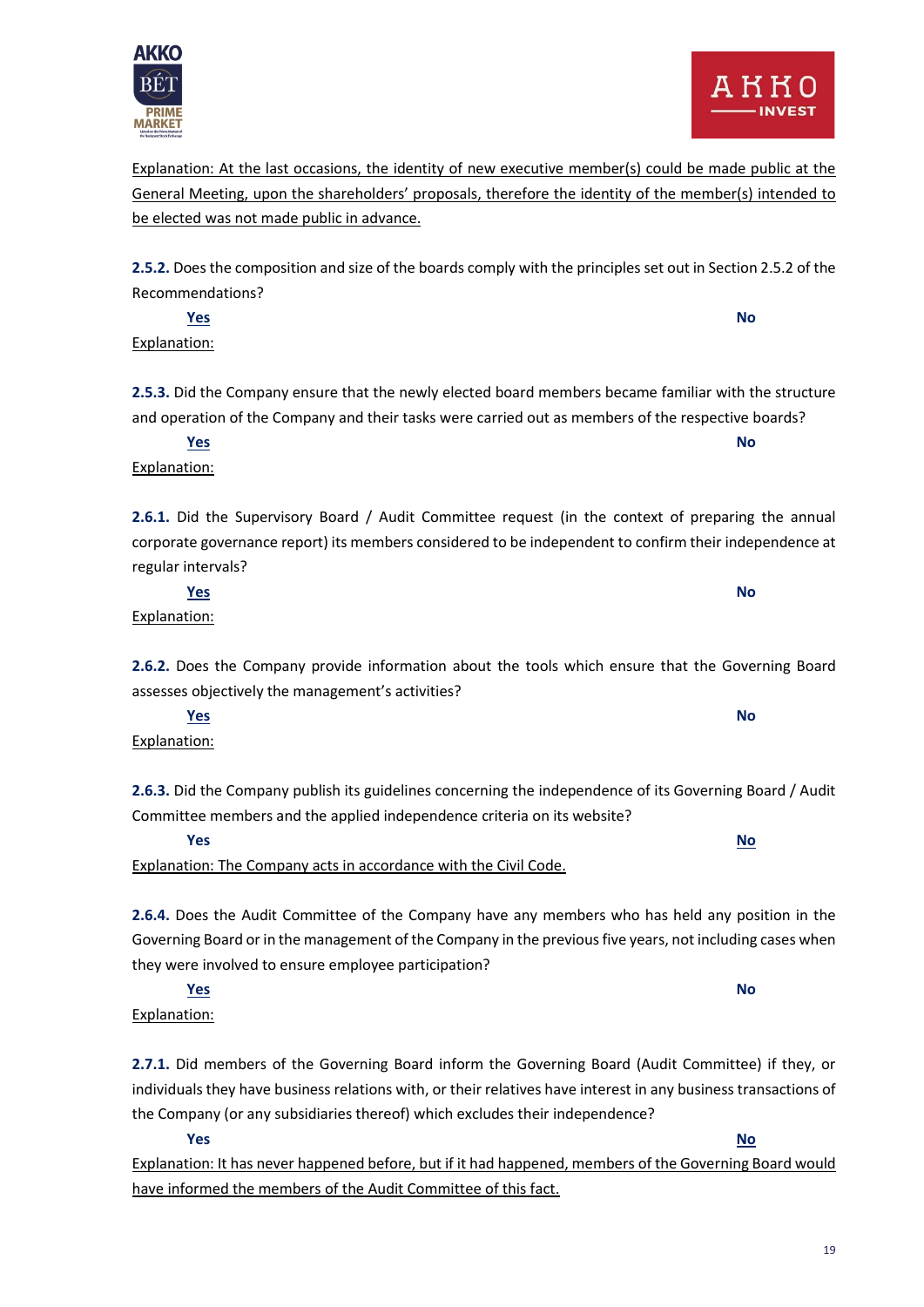Explanation: At the last occasions, the identity of new executive member(s) could be made public at the General Meeting, upon the shareholders' proposals, therefore the identity of the member(s) intended to be elected was not made public in advance.

**2.5.2.** Does the composition and size of the boards comply with the principles set out in Section 2.5.2 of the Recommendations?

**2.5.3.** Did the Company ensure that the newly elected board members became familiar with the structure and operation of the Company and their tasks were carried out as members of the respective boards?

**Yes No**

**2.6.1.** Did the Supervisory Board / Audit Committee request (in the context of preparing the annual corporate governance report) its members considered to be independent to confirm their independence at regular intervals?

**2.6.2.** Does the Company provide information about the tools which ensure that the Governing Board

**2.6.3.** Did the Company publish its guidelines concerning the independence of its Governing Board / Audit

**2.6.4.** Does the Audit Committee of the Company have any members who has held any position in the Governing Board or in the management of the Company in the previous five years, not including cases when they were involved to ensure employee participation?

**2.7.1.** Did members of the Governing Board inform the Governing Board (Audit Committee) if they, or individuals they have business relations with, or their relatives have interest in any business transactions of the Company (or any subsidiaries thereof) which excludes their independence?

**Yes No**

Explanation: It has never happened before, but if it had happened, members of the Governing Board would have informed the members of the Audit Committee of this fact.

Explanation:

Explanation:

Explanation:

**MARKET** 

Explanation:

assesses objectively the management's activities?

**Yes No**

Explanation:

Committee members and the applied independence criteria on its website?

Explanation: The Company acts in accordance with the Civil Code.

**Yes No**

**Yes No**

**Yes No**

**Yes No**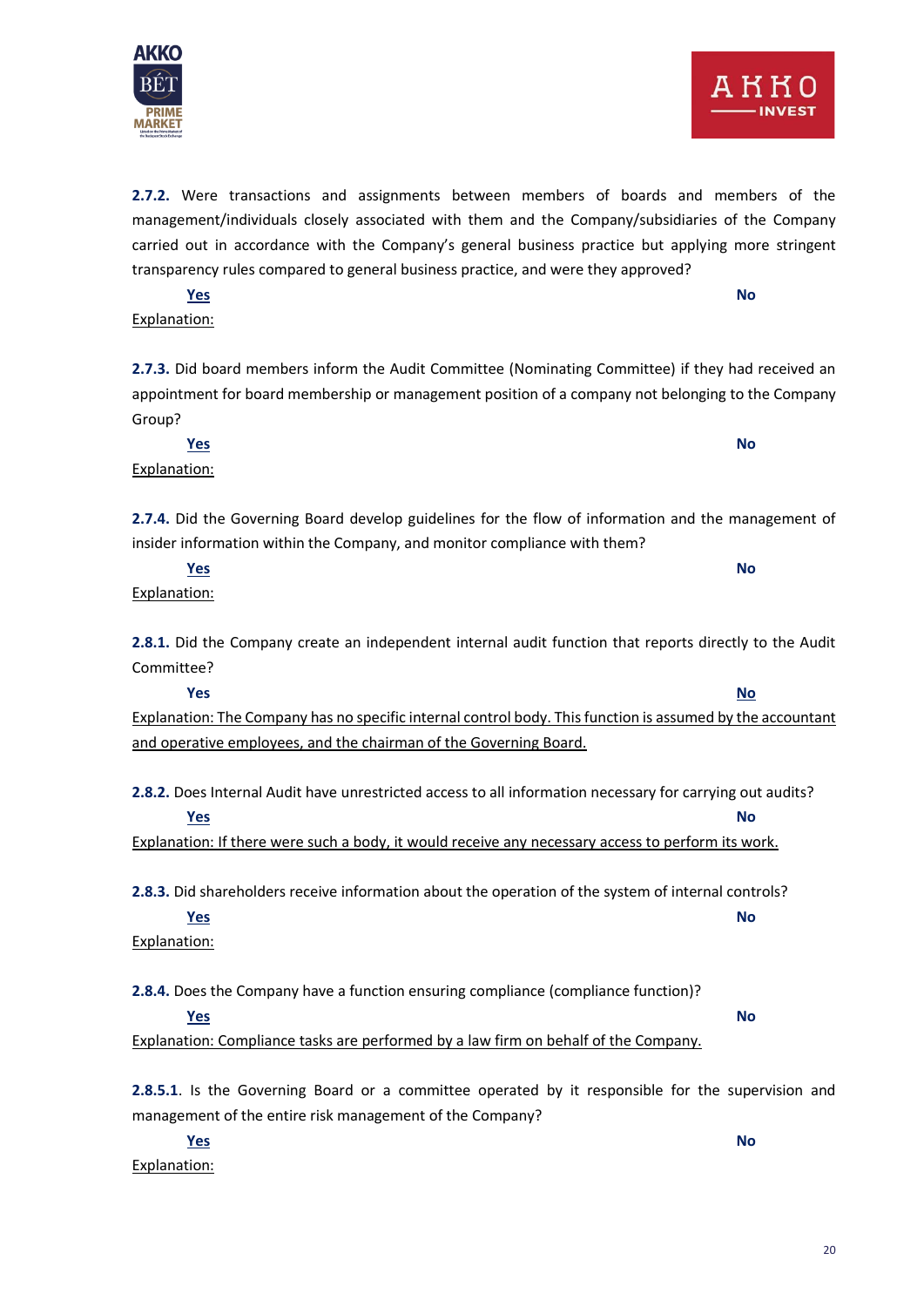**2.7.2.** Were transactions and assignments between members of boards and members of the management/individuals closely associated with them and the Company/subsidiaries of the Company carried out in accordance with the Company's general business practice but applying more stringent transparency rules compared to general business practice, and were they approved?

**2.7.3.** Did board members inform the Audit Committee (Nominating Committee) if they had received an appointment for board membership or management position of a company not belonging to the Company Group?

**Yes No**

**Yes No**

**2.7.4.** Did the Governing Board develop guidelines for the flow of information and the management of insider information within the Company, and monitor compliance with them?

**2.8.1.** Did the Company create an independent internal audit function that reports directly to the Audit

**Yes No** Explanation: The Company has no specific internal control body. This function is assumed by the accountant and operative employees, and the chairman of the Governing Board.

**2.8.2.** Does Internal Audit have unrestricted access to all information necessary for carrying out audits? **Yes No**

Explanation: If there were such a body, it would receive any necessary access to perform its work.

**2.8.3.** Did shareholders receive information about the operation of the system of internal controls?

**Yes No**

Explanation:

**2.8.4.** Does the Company have a function ensuring compliance (compliance function)?

**Yes No**

Explanation: Compliance tasks are performed by a law firm on behalf of the Company.

**2.8.5.1**. Is the Governing Board or a committee operated by it responsible for the supervision and management of the entire risk management of the Company?

**Yes No** Explanation:

**Yes No** Explanation:

Committee?

Explanation:



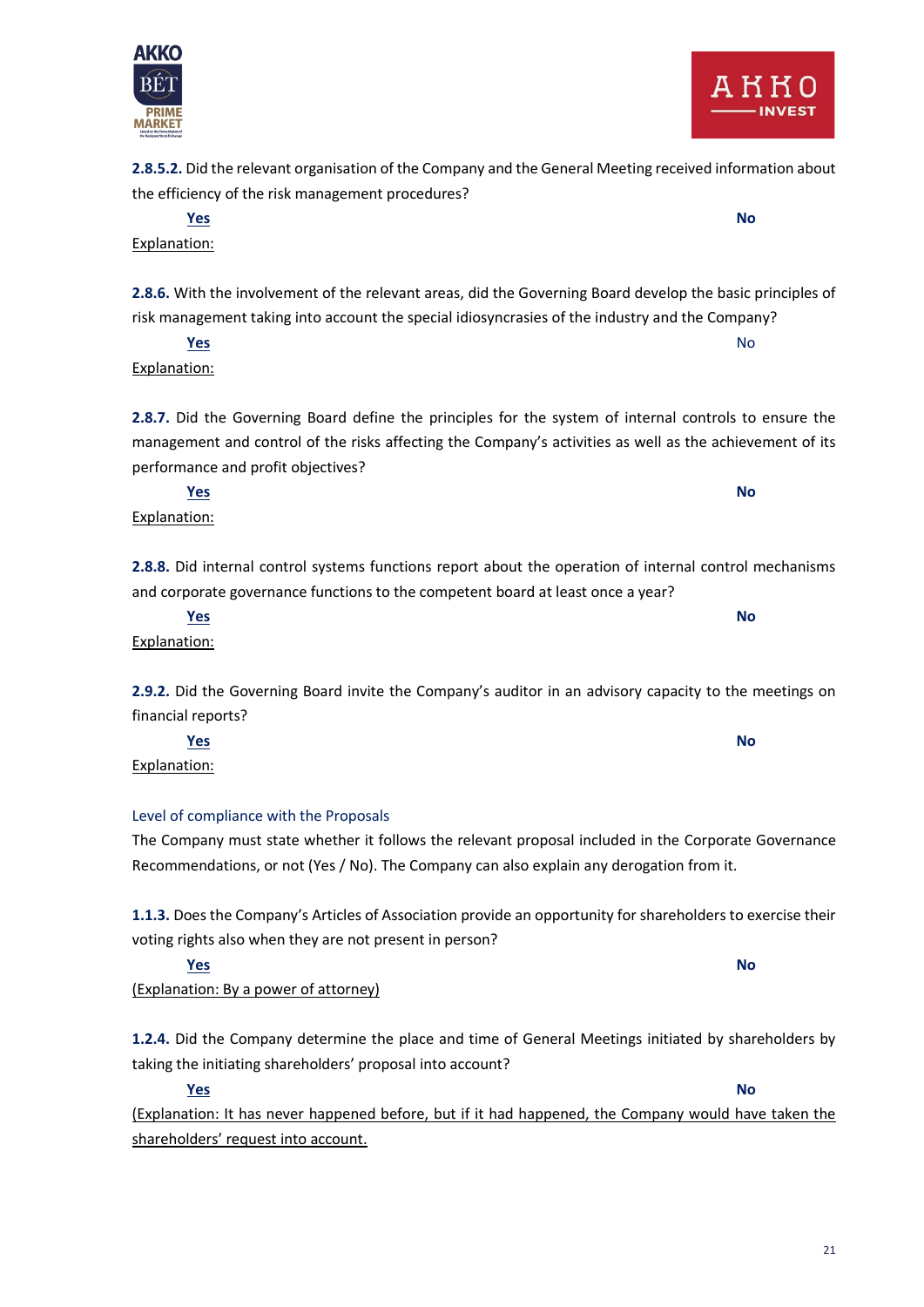

risk management taking into account the special idiosyncrasies of the industry and the Company?

**Yes** No. 2008. In the Model of the Model of the Model of the Model of the Model of the Model of the Model of the Mo Explanation:

Explanation:

Explanation:

**2.8.7.** Did the Governing Board define the principles for the system of internal controls to ensure the management and control of the risks affecting the Company's activities as well as the achievement of its performance and profit objectives?

**2.8.8.** Did internal control systems functions report about the operation of internal control mechanisms and corporate governance functions to the competent board at least once a year?

Explanation: **2.9.2.** Did the Governing Board invite the Company's auditor in an advisory capacity to the meetings on

The Company must state whether it follows the relevant proposal included in the Corporate Governance Recommendations, or not (Yes / No). The Company can also explain any derogation from it.

**1.1.3.** Does the Company's Articles of Association provide an opportunity for shareholders to exercise their voting rights also when they are not present in person?

**1.2.4.** Did the Company determine the place and time of General Meetings initiated by shareholders by

**Yes No** (Explanation: It has never happened before, but if it had happened, the Company would have taken the shareholders' request into account.

#### **2.8.5.2.** Did the relevant organisation of the Company and the General Meeting received information about the efficiency of the risk management procedures?

**2.8.6.** With the involvement of the relevant areas, did the Governing Board develop the basic principles of

**Yes No**

**Yes No**

financial reports?

Level of compliance with the Proposals

taking the initiating shareholders' proposal into account?

**Yes No**



**Yes No**

**Yes No**

(Explanation: By a power of attorney)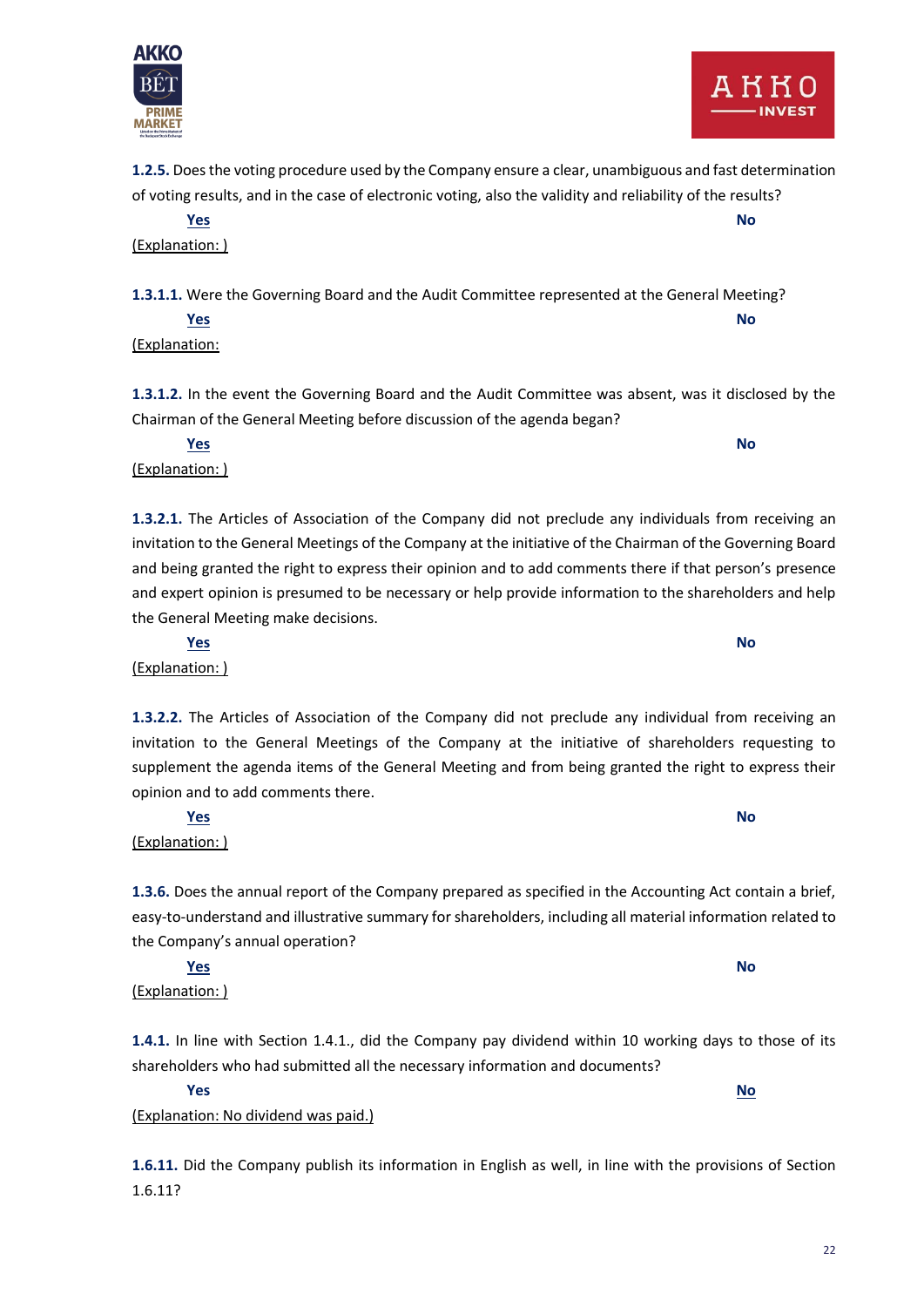

**1.2.5.** Does the voting procedure used by the Company ensure a clear, unambiguous and fast determination of voting results, and in the case of electronic voting, also the validity and reliability of the results?

**Yes No** (Explanation: )

**1.3.1.1.** Were the Governing Board and the Audit Committee represented at the General Meeting? **Yes No**

(Explanation:

(Explanation: )

(Explanation: )

(Explanation: )

(Explanation: )

opinion and to add comments there.

the Company's annual operation?

(Explanation: No dividend was paid.)

**1.3.1.2.** In the event the Governing Board and the Audit Committee was absent, was it disclosed by the Chairman of the General Meeting before discussion of the agenda began?

**Yes No**

**1.3.2.1.** The Articles of Association of the Company did not preclude any individuals from receiving an invitation to the General Meetings of the Company at the initiative of the Chairman of the Governing Board and being granted the right to express their opinion and to add comments there if that person's presence and expert opinion is presumed to be necessary or help provide information to the shareholders and help the General Meeting make decisions.

**1.3.2.2.** The Articles of Association of the Company did not preclude any individual from receiving an invitation to the General Meetings of the Company at the initiative of shareholders requesting to supplement the agenda items of the General Meeting and from being granted the right to express their

**1.3.6.** Does the annual report of the Company prepared as specified in the Accounting Act contain a brief, easy-to-understand and illustrative summary for shareholders, including all material information related to

**1.4.1.** In line with Section 1.4.1., did the Company pay dividend within 10 working days to those of its shareholders who had submitted all the necessary information and documents?

**1.6.11.** Did the Company publish its information in English as well, in line with the provisions of Section 1.6.11?

**Yes No**

**Yes No**

**Yes No**

**Yes No**

22